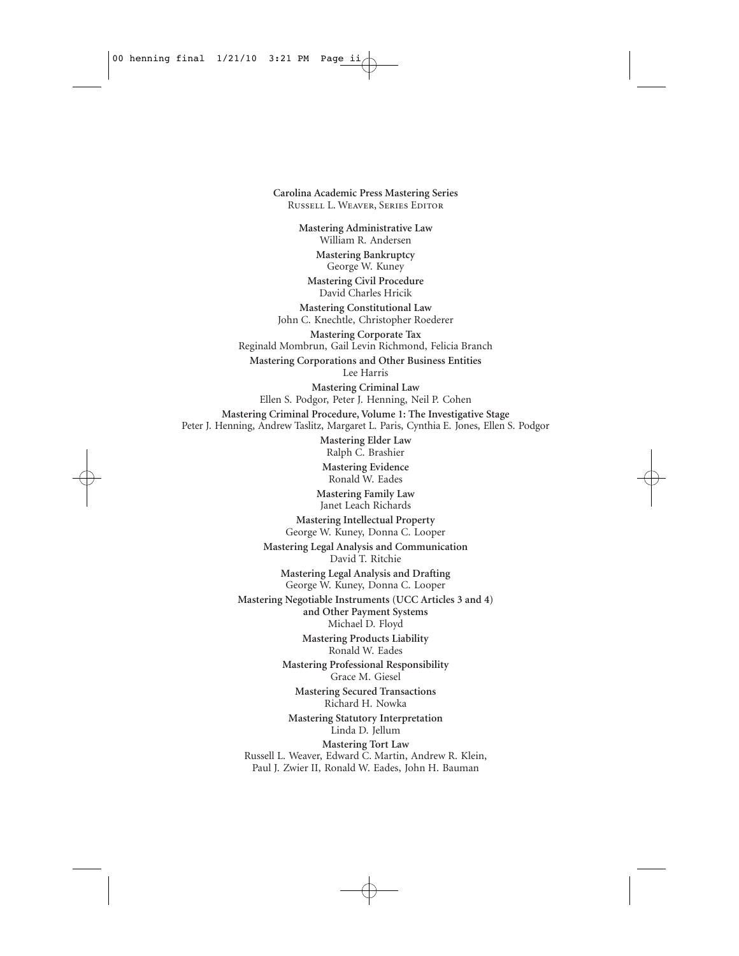**Carolina Academic Press Mastering Series** Russell L. Weaver, Series Editor **Mastering Administrative Law** William R. Andersen **Mastering Bankruptcy** George W. Kuney **Mastering Civil Procedure** David Charles Hricik **Mastering Constitutional Law** John C. Knechtle, Christopher Roederer **Mastering Corporate Tax** Reginald Mombrun, Gail Levin Richmond, Felicia Branch **Mastering Corporations and Other Business Entities** Lee Harris **Mastering Criminal Law** Ellen S. Podgor, Peter J. Henning, Neil P. Cohen **Mastering Criminal Procedure, Volume 1: The Investigative Stage** Peter J. Henning, Andrew Taslitz, Margaret L. Paris, Cynthia E. Jones, Ellen S. Podgor **Mastering Elder Law** Ralph C. Brashier **Mastering Evidence** Ronald W. Eades **Mastering Family Law** Janet Leach Richards **Mastering Intellectual Property** George W. Kuney, Donna C. Looper **Mastering Legal Analysis and Communication** David T. Ritchie **Mastering Legal Analysis and Drafting** George W. Kuney, Donna C. Looper **Mastering Negotiable Instruments (UCC Articles 3 and 4) and Other Payment Systems** Michael D. Floyd **Mastering Products Liability** Ronald W. Eades **Mastering Professional Responsibility** Grace M. Giesel **Mastering Secured Transactions** Richard H. Nowka **Mastering Statutory Interpretation** Linda D. Jellum **Mastering Tort Law** Russell L. Weaver, Edward C. Martin, Andrew R. Klein, Paul J. Zwier II, Ronald W. Eades, John H. Bauman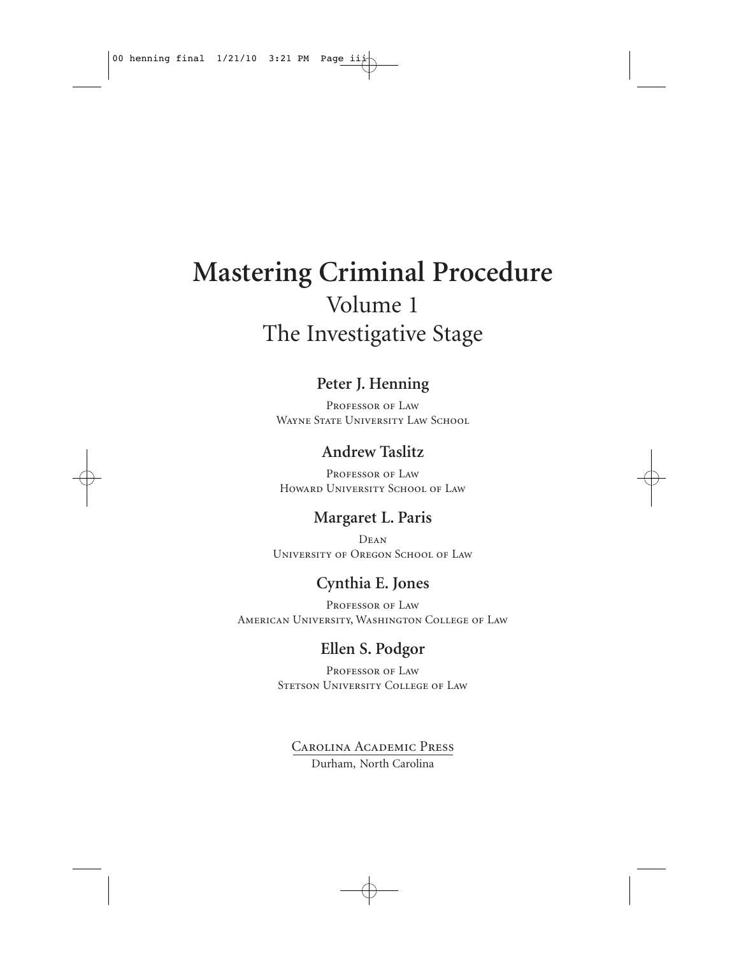# **Mastering Criminal Procedure** Volume 1 The Investigative Stage

### **Peter J. Henning**

PROFESSOR OF LAW WAYNE STATE UNIVERSITY LAW SCHOOL

## **Andrew Taslitz**

PROFESSOR OF LAW Howard University School of Law

### **Margaret L. Paris**

Dean University of Oregon School of Law

## **Cynthia E. Jones**

PROFESSOR OF LAW American University, Washington College of Law

## **Ellen S. Podgor**

PROFESSOR OF LAW STETSON UNIVERSITY COLLEGE OF LAW

Carolina Academic Press Durham, North Carolina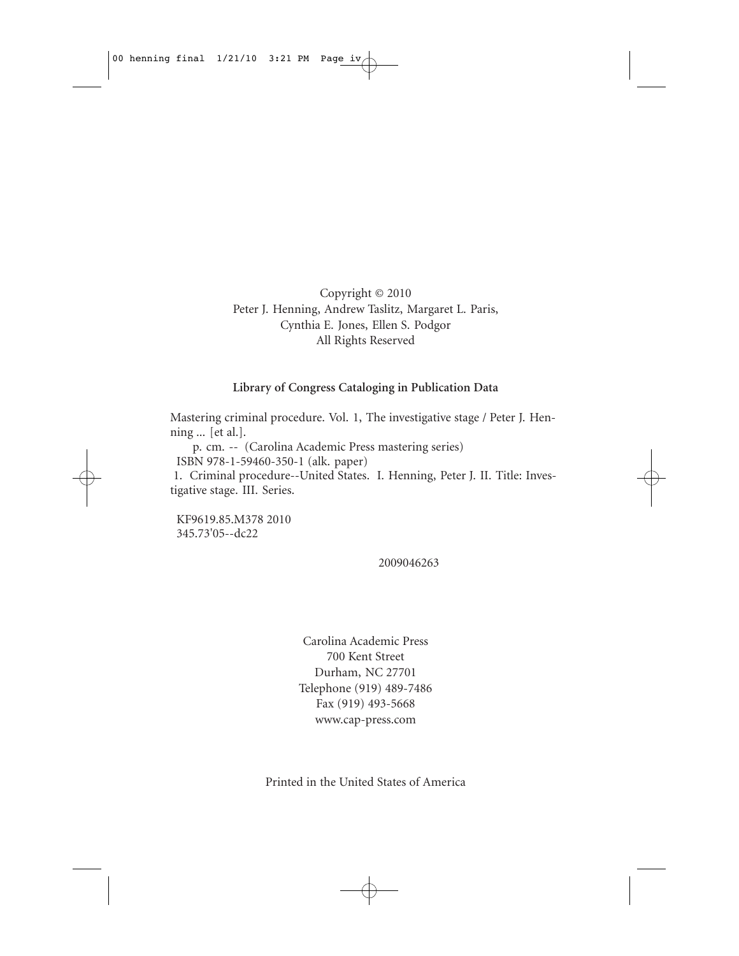Copyright © 2010 Peter J. Henning, Andrew Taslitz, Margaret L. Paris, Cynthia E. Jones, Ellen S. Podgor All Rights Reserved

#### **Library of Congress Cataloging in Publication Data**

Mastering criminal procedure. Vol. 1, The investigative stage / Peter J. Henning ... [et al.].

p. cm. -- (Carolina Academic Press mastering series)

ISBN 978-1-59460-350-1 (alk. paper)

1. Criminal procedure--United States. I. Henning, Peter J. II. Title: Investigative stage. III. Series.

KF9619.85.M378 2010 345.73'05--dc22

2009046263

Carolina Academic Press 700 Kent Street Durham, NC 27701 Telephone (919) 489-7486 Fax (919) 493-5668 www.cap-press.com

Printed in the United States of America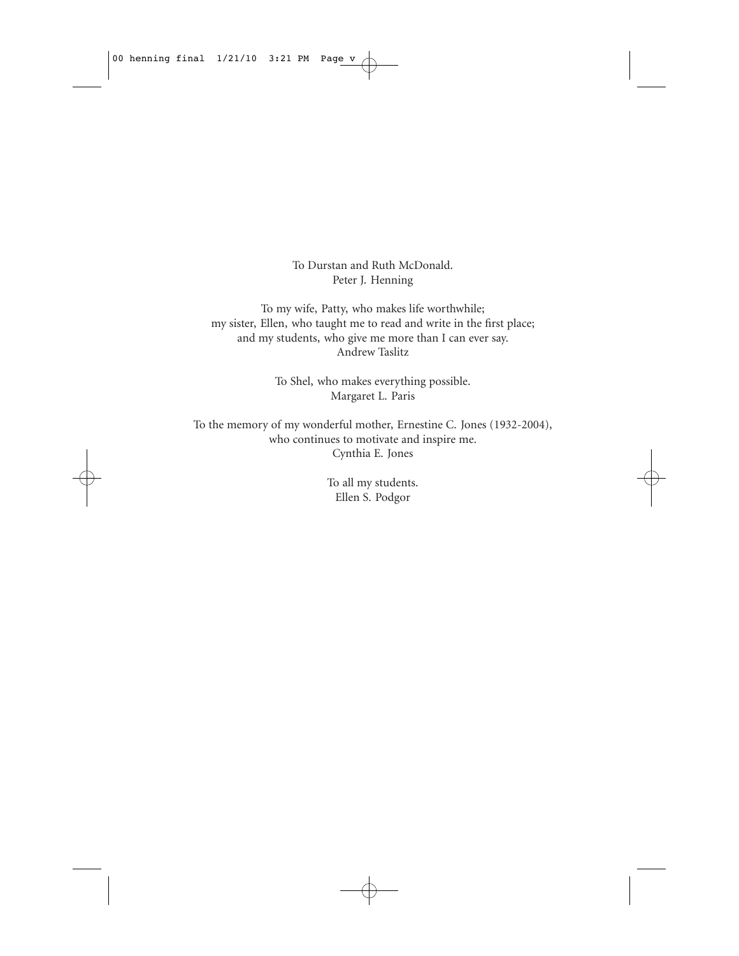To Durstan and Ruth McDonald. Peter J. Henning

To my wife, Patty, who makes life worthwhile; my sister, Ellen, who taught me to read and write in the first place; and my students, who give me more than I can ever say. Andrew Taslitz

> To Shel, who makes everything possible. Margaret L. Paris

To the memory of my wonderful mother, Ernestine C. Jones (1932-2004), who continues to motivate and inspire me. Cynthia E. Jones

> To all my students. Ellen S. Podgor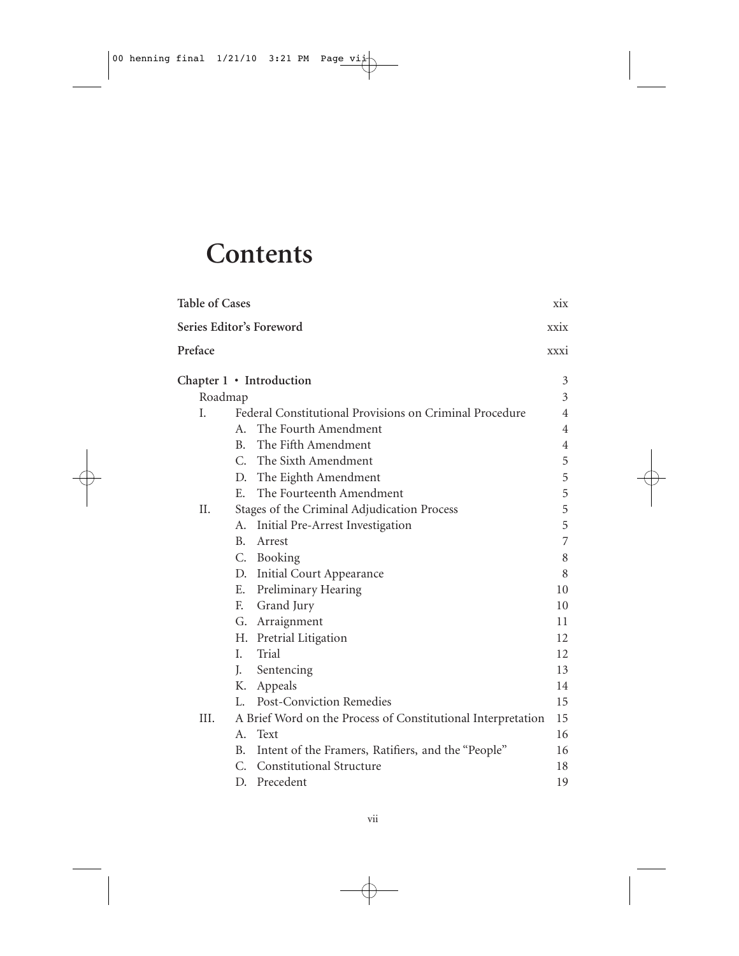# **Contents**

| <b>Table of Cases</b> |                                                              | xix            |
|-----------------------|--------------------------------------------------------------|----------------|
|                       | Series Editor's Foreword                                     | xxix           |
| Preface               |                                                              | XXX1           |
|                       | Chapter $1 \cdot$ Introduction                               | 3              |
| Roadmap               |                                                              | 3              |
| I.                    | Federal Constitutional Provisions on Criminal Procedure      | $\overline{4}$ |
|                       | A. The Fourth Amendment                                      | $\overline{4}$ |
|                       | B. The Fifth Amendment                                       | $\overline{4}$ |
|                       | C. The Sixth Amendment                                       | 5              |
|                       | D. The Eighth Amendment                                      | 5              |
|                       | The Fourteenth Amendment<br>$E_{\rm{m}}$                     | 5              |
| II.                   | Stages of the Criminal Adjudication Process                  | 5              |
|                       | Initial Pre-Arrest Investigation<br>А.                       | 5              |
|                       | $B_{\rm m}$<br>Arrest                                        | $\overline{7}$ |
|                       | C. Booking                                                   | 8              |
|                       | D. Initial Court Appearance                                  | 8              |
|                       | Preliminary Hearing<br>Ε.                                    | 10             |
|                       | F. Grand Jury                                                | 10             |
|                       | G. Arraignment                                               | 11             |
|                       | H. Pretrial Litigation                                       | 12             |
|                       | L.<br>Trial                                                  | 12             |
|                       | J.<br>Sentencing                                             | 13             |
|                       | Κ.<br>Appeals                                                | 14             |
|                       | Post-Conviction Remedies<br>L.                               | 15             |
| III.                  | A Brief Word on the Process of Constitutional Interpretation | 15             |
|                       | Text<br>$A_{-}$                                              | 16             |
|                       | B.<br>Intent of the Framers, Ratifiers, and the "People"     | 16             |
|                       | C. Constitutional Structure                                  | 18             |
|                       | D. Precedent                                                 | 19             |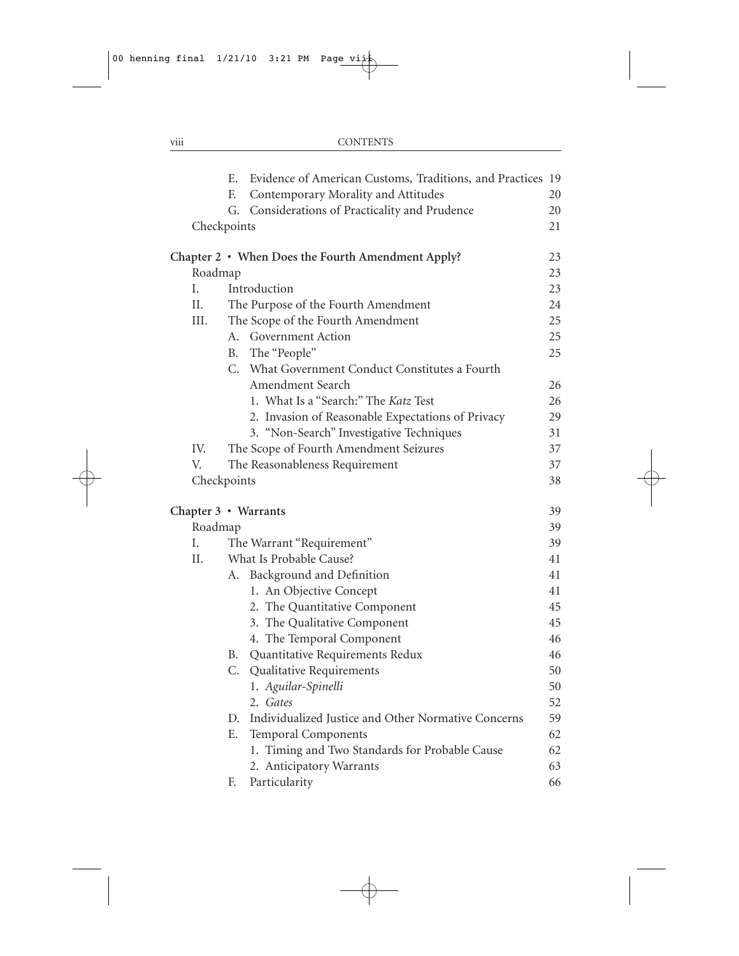|                      | Е.        | Evidence of American Customs, Traditions, and Practices 19 |    |
|----------------------|-----------|------------------------------------------------------------|----|
|                      | F.        | Contemporary Morality and Attitudes                        | 20 |
|                      | G.        | Considerations of Practicality and Prudence                | 20 |
| Checkpoints          |           |                                                            | 21 |
|                      |           | Chapter 2 • When Does the Fourth Amendment Apply?          | 23 |
| Roadmap              |           |                                                            | 23 |
| I.                   |           | Introduction                                               | 23 |
| II.                  |           | The Purpose of the Fourth Amendment                        | 24 |
| III.                 |           | The Scope of the Fourth Amendment                          | 25 |
|                      |           | A. Government Action                                       | 25 |
|                      | <b>B.</b> | The "People"                                               | 25 |
|                      | С.        | What Government Conduct Constitutes a Fourth               |    |
|                      |           | Amendment Search                                           | 26 |
|                      |           | 1. What Is a "Search:" The Katz Test                       | 26 |
|                      |           | 2. Invasion of Reasonable Expectations of Privacy          | 29 |
|                      |           | 3. "Non-Search" Investigative Techniques                   | 31 |
| IV.                  |           | The Scope of Fourth Amendment Seizures                     | 37 |
| V.                   |           | The Reasonableness Requirement                             | 37 |
| Checkpoints          |           |                                                            | 38 |
| Chapter 3 • Warrants |           |                                                            | 39 |
| Roadmap              |           |                                                            | 39 |
| I.                   |           | The Warrant "Requirement"                                  | 39 |
| II.                  |           | What Is Probable Cause?                                    | 41 |
|                      | А.        | Background and Definition                                  | 41 |
|                      |           | 1. An Objective Concept                                    | 41 |
|                      |           | 2. The Quantitative Component                              | 45 |
|                      |           | 3. The Qualitative Component                               | 45 |
|                      |           | 4. The Temporal Component                                  | 46 |
|                      |           | B. Quantitative Requirements Redux                         | 46 |
|                      |           | C. Qualitative Requirements                                | 50 |
|                      |           | 1. Aguilar-Spinelli                                        | 50 |
|                      |           | 2. Gates                                                   | 52 |
|                      |           | D. Individualized Justice and Other Normative Concerns     | 59 |
|                      | Е.        | <b>Temporal Components</b>                                 | 62 |
|                      |           | 1. Timing and Two Standards for Probable Cause             | 62 |
|                      |           | 2. Anticipatory Warrants                                   | 63 |
|                      | F.        | Particularity                                              | 66 |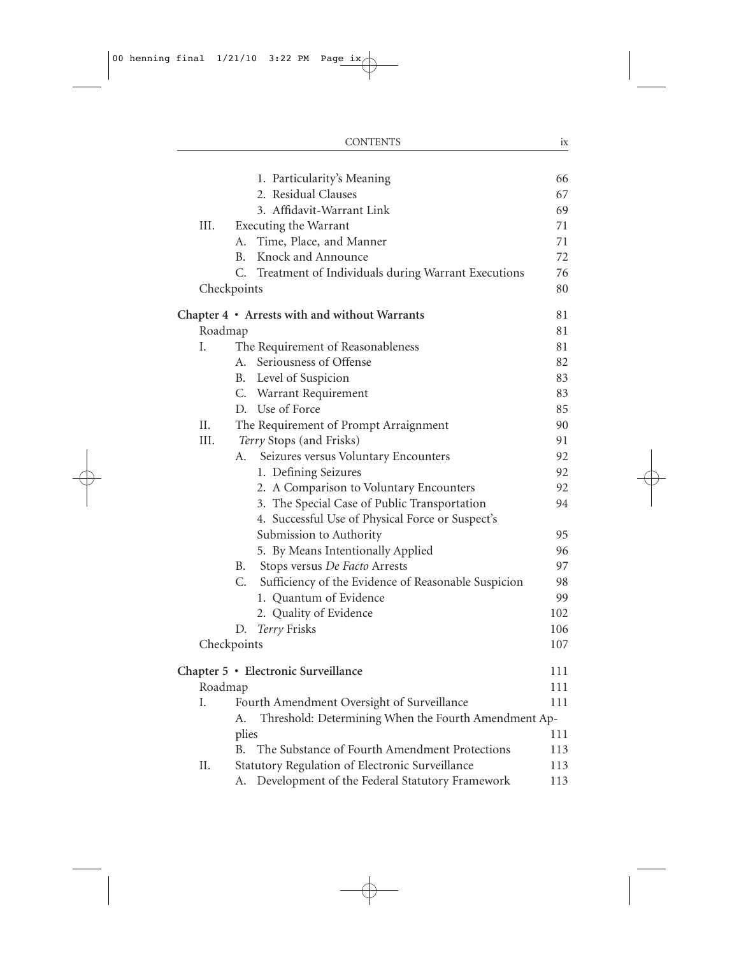|         | <b>CONTENTS</b>                                            | ix  |
|---------|------------------------------------------------------------|-----|
|         |                                                            |     |
|         | 1. Particularity's Meaning                                 | 66  |
|         | 2. Residual Clauses                                        | 67  |
|         | 3. Affidavit-Warrant Link                                  | 69  |
| III.    | Executing the Warrant                                      | 71  |
|         | A. Time, Place, and Manner                                 | 71  |
|         | Knock and Announce<br>B.                                   | 72  |
|         | C. Treatment of Individuals during Warrant Executions      | 76  |
|         | Checkpoints                                                | 80  |
|         | Chapter 4 • Arrests with and without Warrants              | 81  |
| Roadmap |                                                            | 81  |
| L       | The Requirement of Reasonableness                          | 81  |
|         | Seriousness of Offense<br>A.                               | 82  |
|         | B. Level of Suspicion                                      | 83  |
|         | C. Warrant Requirement                                     | 83  |
|         | D. Use of Force                                            | 85  |
| II.     | The Requirement of Prompt Arraignment                      | 90  |
| III.    | Terry Stops (and Frisks)                                   | 91  |
|         | Seizures versus Voluntary Encounters<br>А.                 | 92  |
|         | 1. Defining Seizures                                       | 92  |
|         | 2. A Comparison to Voluntary Encounters                    | 92  |
|         | 3. The Special Case of Public Transportation               | 94  |
|         | 4. Successful Use of Physical Force or Suspect's           |     |
|         | Submission to Authority                                    | 95  |
|         | 5. By Means Intentionally Applied                          | 96  |
|         | B. Stops versus De Facto Arrests                           | 97  |
|         | C. Sufficiency of the Evidence of Reasonable Suspicion     | 98  |
|         | 1. Quantum of Evidence                                     | 99  |
|         | 2. Quality of Evidence                                     | 102 |
|         | Terry Frisks<br>D.                                         | 106 |
|         | Checkpoints                                                | 107 |
|         | Chapter 5 · Electronic Surveillance                        | 111 |
| Roadmap |                                                            | 111 |
| Ι.      | Fourth Amendment Oversight of Surveillance                 | 111 |
|         | Threshold: Determining When the Fourth Amendment Ap-<br>А. |     |
|         | plies                                                      | 111 |
|         | The Substance of Fourth Amendment Protections<br><b>B.</b> | 113 |
| Π.      | Statutory Regulation of Electronic Surveillance            | 113 |
|         | Development of the Federal Statutory Framework<br>А.       | 113 |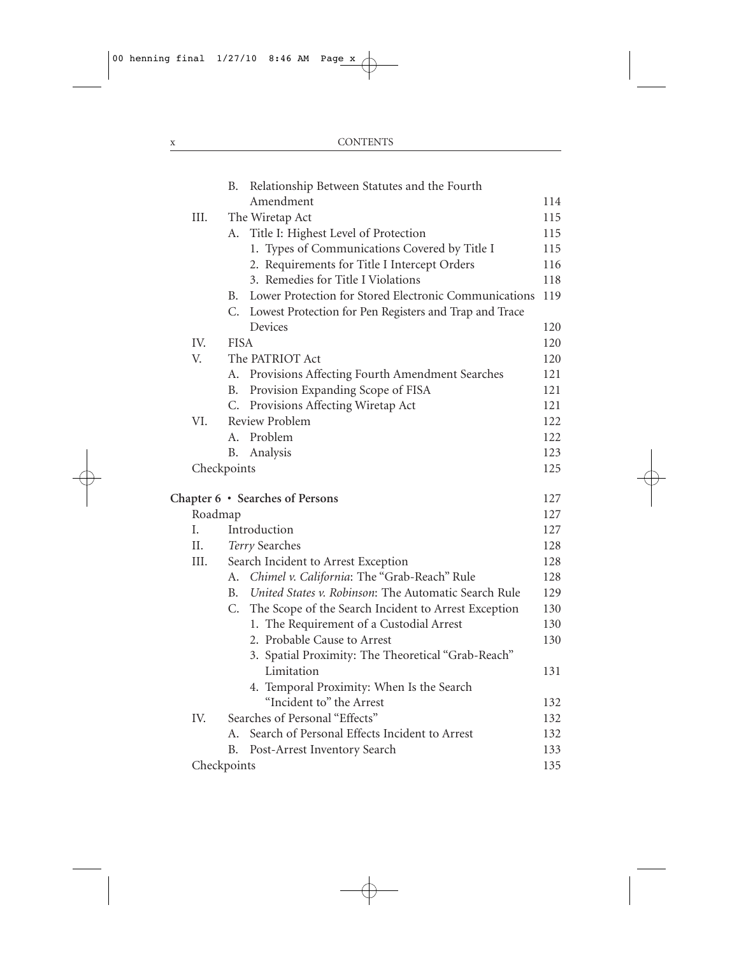|             | В.          | Relationship Between Statutes and the Fourth              |     |
|-------------|-------------|-----------------------------------------------------------|-----|
|             |             | Amendment                                                 | 114 |
| III.        |             | The Wiretap Act                                           | 115 |
|             |             | A. Title I: Highest Level of Protection                   | 115 |
|             |             | 1. Types of Communications Covered by Title I             | 115 |
|             |             | 2. Requirements for Title I Intercept Orders              | 116 |
|             |             | 3. Remedies for Title I Violations                        | 118 |
|             | B.          | Lower Protection for Stored Electronic Communications     | 119 |
|             |             | C. Lowest Protection for Pen Registers and Trap and Trace |     |
|             |             | Devices                                                   | 120 |
| IV.         | <b>FISA</b> |                                                           | 120 |
| V.          |             | The PATRIOT Act                                           | 120 |
|             | А.          | Provisions Affecting Fourth Amendment Searches            | 121 |
|             | В.          | Provision Expanding Scope of FISA                         | 121 |
|             | C.          | Provisions Affecting Wiretap Act                          | 121 |
| VI.         |             | Review Problem                                            | 122 |
|             |             | A. Problem                                                | 122 |
|             | В.          | Analysis                                                  | 123 |
| Checkpoints |             |                                                           | 125 |
|             |             |                                                           |     |
|             |             | Chapter 6 · Searches of Persons                           | 127 |
| Roadmap     |             |                                                           | 127 |
| I.          |             | Introduction                                              | 127 |
| П.          |             | Terry Searches                                            | 128 |
| III.        |             | Search Incident to Arrest Exception                       | 128 |
|             | А.          | Chimel v. California: The "Grab-Reach" Rule               | 128 |
|             | B.          | United States v. Robinson: The Automatic Search Rule      | 129 |
|             |             | C. The Scope of the Search Incident to Arrest Exception   | 130 |
|             |             | 1. The Requirement of a Custodial Arrest                  | 130 |
|             |             | 2. Probable Cause to Arrest                               | 130 |
|             |             | 3. Spatial Proximity: The Theoretical "Grab-Reach"        |     |
|             |             | Limitation                                                | 131 |
|             |             | 4. Temporal Proximity: When Is the Search                 |     |
|             |             | "Incident to" the Arrest                                  | 132 |
| IV.         |             | Searches of Personal "Effects"                            | 132 |
|             | А.          | Search of Personal Effects Incident to Arrest             | 132 |
|             | В.          | Post-Arrest Inventory Search                              | 133 |
| Checkpoints |             |                                                           | 135 |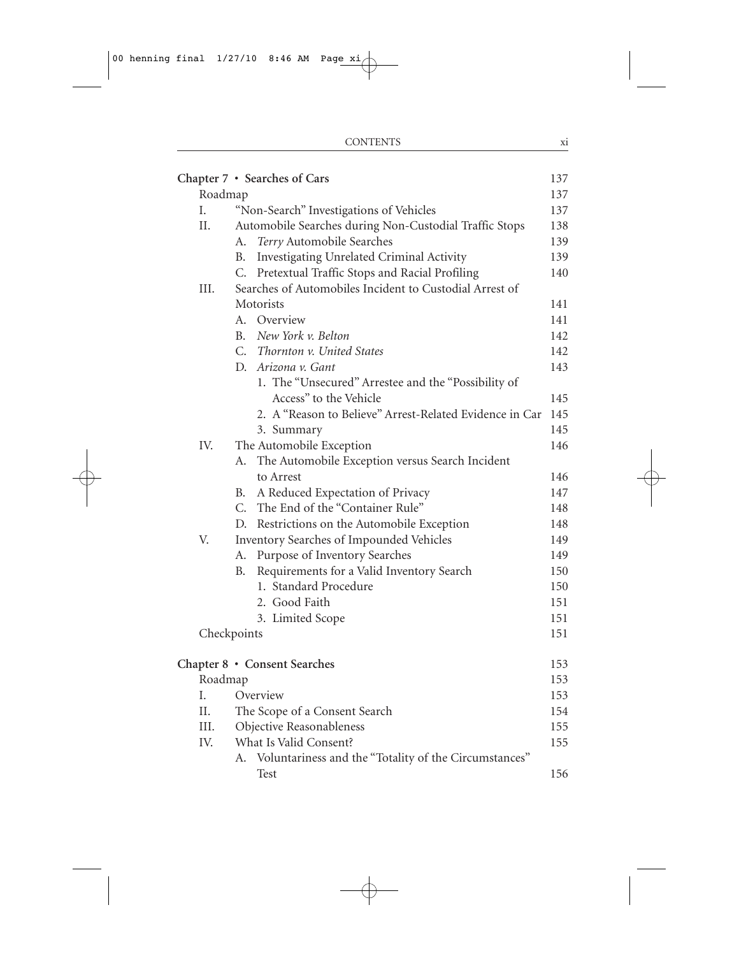|         | Chapter 7 · Searches of Cars                                | 137 |
|---------|-------------------------------------------------------------|-----|
| Roadmap |                                                             | 137 |
| Ι.      | "Non-Search" Investigations of Vehicles                     | 137 |
| II.     | Automobile Searches during Non-Custodial Traffic Stops      | 138 |
|         | Terry Automobile Searches<br>А.                             | 139 |
|         | Investigating Unrelated Criminal Activity<br>В.             | 139 |
|         | C.<br>Pretextual Traffic Stops and Racial Profiling         | 140 |
| III.    | Searches of Automobiles Incident to Custodial Arrest of     |     |
|         | Motorists                                                   | 141 |
|         | Overview<br>А.                                              | 141 |
|         | New York v. Belton<br>B.                                    | 142 |
|         | C. Thornton v. United States                                | 142 |
|         | D. Arizona v. Gant                                          | 143 |
|         | 1. The "Unsecured" Arrestee and the "Possibility of         |     |
|         | Access" to the Vehicle                                      | 145 |
|         | 2. A "Reason to Believe" Arrest-Related Evidence in Car     | 145 |
|         | 3. Summary                                                  | 145 |
| IV.     | The Automobile Exception                                    | 146 |
|         | The Automobile Exception versus Search Incident<br>А.       |     |
|         | to Arrest                                                   | 146 |
|         | A Reduced Expectation of Privacy<br>В.                      | 147 |
|         | C. The End of the "Container Rule"                          | 148 |
|         | D. Restrictions on the Automobile Exception                 | 148 |
| V.      | Inventory Searches of Impounded Vehicles                    | 149 |
|         | Purpose of Inventory Searches<br>А.                         | 149 |
|         | Requirements for a Valid Inventory Search<br>В.             | 150 |
|         | 1. Standard Procedure                                       | 150 |
|         | 2. Good Faith                                               | 151 |
|         | 3. Limited Scope                                            | 151 |
|         | Checkpoints                                                 | 151 |
|         | Chapter 8 • Consent Searches                                | 153 |
| Roadmap |                                                             | 153 |
| Ι.      | Overview                                                    | 153 |
| П.      | The Scope of a Consent Search                               | 154 |
| III.    | Objective Reasonableness                                    | 155 |
| IV.     | What Is Valid Consent?                                      | 155 |
|         | Voluntariness and the "Totality of the Circumstances"<br>А. |     |
|         | Test                                                        | 156 |
|         |                                                             |     |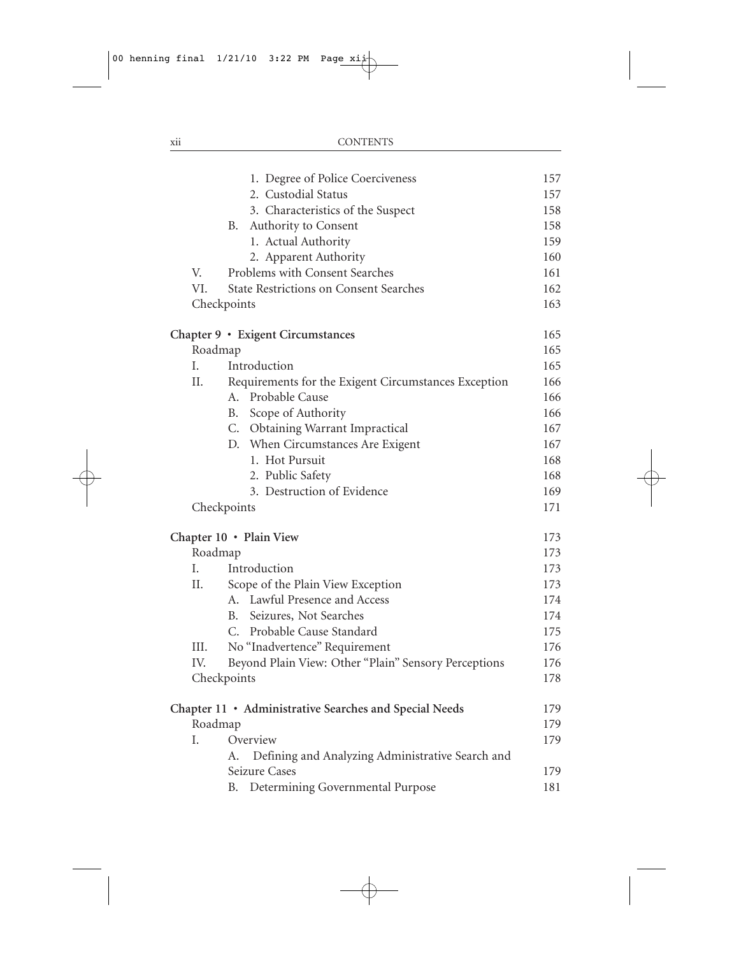|      | 1. Degree of Police Coerciveness                       | 157 |
|------|--------------------------------------------------------|-----|
|      | 2. Custodial Status                                    | 157 |
|      | 3. Characteristics of the Suspect                      | 158 |
|      | Authority to Consent<br>В.                             | 158 |
|      | 1. Actual Authority                                    | 159 |
|      | 2. Apparent Authority                                  | 160 |
| V.   | Problems with Consent Searches                         | 161 |
| VI.  | <b>State Restrictions on Consent Searches</b>          | 162 |
|      | Checkpoints                                            | 163 |
|      | Chapter 9 · Exigent Circumstances                      | 165 |
|      | Roadmap                                                | 165 |
| L.   | Introduction                                           | 165 |
| Π.   | Requirements for the Exigent Circumstances Exception   | 166 |
|      | Probable Cause<br>А.                                   | 166 |
|      | Scope of Authority<br>В.                               | 166 |
|      | C.<br><b>Obtaining Warrant Impractical</b>             | 167 |
|      | When Circumstances Are Exigent<br>D.                   | 167 |
|      | 1. Hot Pursuit                                         | 168 |
|      | 2. Public Safety                                       | 168 |
|      | 3. Destruction of Evidence                             | 169 |
|      | Checkpoints                                            | 171 |
|      | Chapter 10 · Plain View                                | 173 |
|      | Roadmap                                                | 173 |
| L.   | Introduction                                           | 173 |
| П.   | Scope of the Plain View Exception                      | 173 |
|      | A. Lawful Presence and Access                          | 174 |
|      | Seizures, Not Searches<br>B.                           | 174 |
|      | Probable Cause Standard<br>$C_{\cdot}$                 | 175 |
| III. | No "Inadvertence" Requirement                          | 176 |
| IV.  | Beyond Plain View: Other "Plain" Sensory Perceptions   | 176 |
|      | Checkpoints                                            | 178 |
|      | Chapter 11 · Administrative Searches and Special Needs | 179 |
|      | Roadmap                                                | 179 |
| I.   | Overview                                               | 179 |
|      | Defining and Analyzing Administrative Search and<br>А. |     |
|      | Seizure Cases                                          | 179 |
|      | Determining Governmental Purpose<br>В.                 | 181 |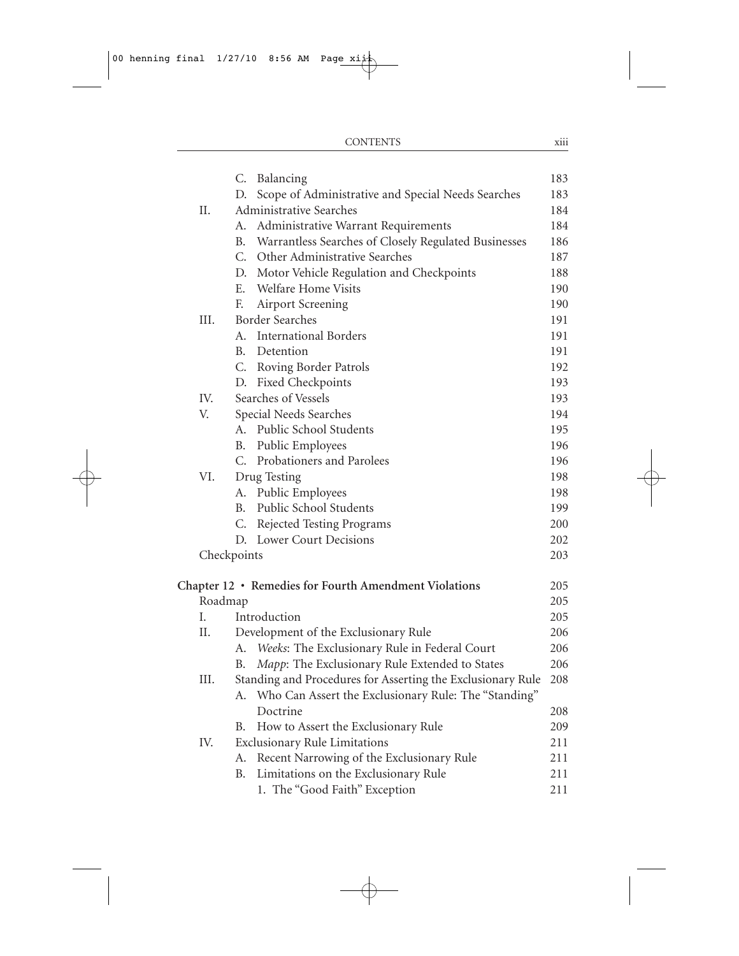|             | C.             | Balancing                                                   | 183 |
|-------------|----------------|-------------------------------------------------------------|-----|
|             | D.             | Scope of Administrative and Special Needs Searches          | 183 |
| Π.          |                | Administrative Searches                                     | 184 |
|             | А.             | Administrative Warrant Requirements                         | 184 |
|             | B.             | Warrantless Searches of Closely Regulated Businesses        | 186 |
|             |                | C. Other Administrative Searches                            | 187 |
|             |                | D. Motor Vehicle Regulation and Checkpoints                 | 188 |
|             | Ε.             | Welfare Home Visits                                         | 190 |
|             | F.             | Airport Screening                                           | 190 |
| III.        |                | <b>Border Searches</b>                                      | 191 |
|             | A <sub>1</sub> | <b>International Borders</b>                                | 191 |
|             | B.             | Detention                                                   | 191 |
|             |                | C. Roving Border Patrols                                    | 192 |
|             |                | D. Fixed Checkpoints                                        | 193 |
| IV.         |                | Searches of Vessels                                         | 193 |
| V.          |                | Special Needs Searches                                      | 194 |
|             | A.             | Public School Students                                      | 195 |
|             | B.             | Public Employees                                            | 196 |
|             | C.             | Probationers and Parolees                                   | 196 |
| VI.         |                | Drug Testing                                                | 198 |
|             | А.             | Public Employees                                            | 198 |
|             | <b>B.</b>      | Public School Students                                      | 199 |
|             | C.             | Rejected Testing Programs                                   | 200 |
|             | D.             | Lower Court Decisions                                       | 202 |
| Checkpoints |                |                                                             | 203 |
|             |                | Chapter 12 • Remedies for Fourth Amendment Violations       | 205 |
| Roadmap     |                |                                                             | 205 |
| Ι.          |                | Introduction                                                | 205 |
| Η.          |                | Development of the Exclusionary Rule                        | 206 |
|             | А.             | Weeks: The Exclusionary Rule in Federal Court               | 206 |
|             | В.             | Mapp: The Exclusionary Rule Extended to States              | 206 |
| III.        |                | Standing and Procedures for Asserting the Exclusionary Rule | 208 |
|             |                | A. Who Can Assert the Exclusionary Rule: The "Standing"     |     |
|             |                | Doctrine                                                    | 208 |
|             | В.             | How to Assert the Exclusionary Rule                         | 209 |
| IV.         |                | <b>Exclusionary Rule Limitations</b>                        | 211 |
|             | А.             | Recent Narrowing of the Exclusionary Rule                   | 211 |
|             | В.             | Limitations on the Exclusionary Rule                        | 211 |
|             |                | 1. The "Good Faith" Exception                               | 211 |
|             |                |                                                             |     |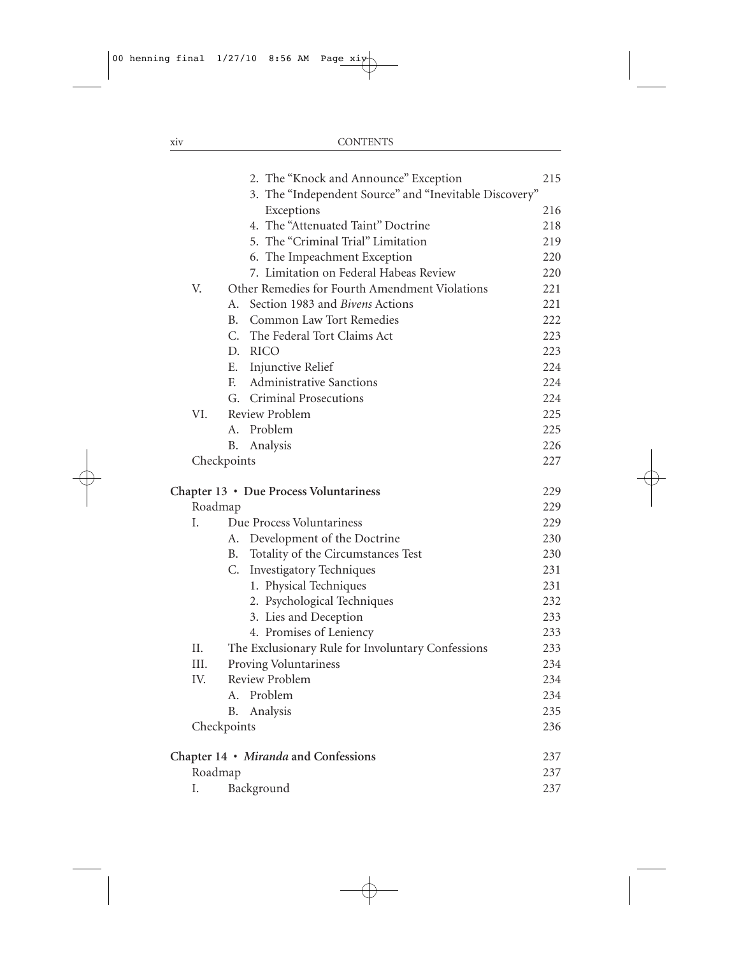|             |    | 2. The "Knock and Announce" Exception                  | 215 |
|-------------|----|--------------------------------------------------------|-----|
|             |    | 3. The "Independent Source" and "Inevitable Discovery" |     |
|             |    | Exceptions                                             | 216 |
|             |    | 4. The "Attenuated Taint" Doctrine                     | 218 |
|             |    | 5. The "Criminal Trial" Limitation                     | 219 |
|             |    | 6. The Impeachment Exception                           | 220 |
|             |    | 7. Limitation on Federal Habeas Review                 | 220 |
| V.          |    | Other Remedies for Fourth Amendment Violations         | 221 |
|             | A. | Section 1983 and <i>Bivens</i> Actions                 | 221 |
|             | B. | Common Law Tort Remedies                               | 222 |
|             |    | C. The Federal Tort Claims Act                         | 223 |
|             |    | D. RICO                                                | 223 |
|             |    | E. Injunctive Relief                                   | 224 |
|             | F. | <b>Administrative Sanctions</b>                        | 224 |
|             |    | G. Criminal Prosecutions                               | 224 |
| VI.         |    | Review Problem                                         | 225 |
|             | A. | Problem                                                | 225 |
|             | В. | Analysis                                               | 226 |
| Checkpoints |    |                                                        | 227 |
|             |    | Chapter 13 • Due Process Voluntariness                 | 229 |
| Roadmap     |    |                                                        | 229 |
| I.          |    | Due Process Voluntariness                              | 229 |
|             |    | A. Development of the Doctrine                         | 230 |
|             | В. | Totality of the Circumstances Test                     | 230 |
|             | C. | <b>Investigatory Techniques</b>                        | 231 |
|             |    | 1. Physical Techniques                                 | 231 |
|             |    | 2. Psychological Techniques                            | 232 |
|             |    | 3. Lies and Deception                                  | 233 |
|             |    | 4. Promises of Leniency                                | 233 |
| II.         |    | The Exclusionary Rule for Involuntary Confessions      | 233 |
| III.        |    | Proving Voluntariness                                  | 234 |
| IV.         |    | Review Problem                                         | 234 |
|             |    | A. Problem                                             | 234 |
|             | В. | Analysis                                               | 235 |
| Checkpoints |    |                                                        | 236 |
|             |    | Chapter 14 · Miranda and Confessions                   | 237 |
| Roadmap     |    |                                                        | 237 |
| Ι.          |    | Background                                             | 237 |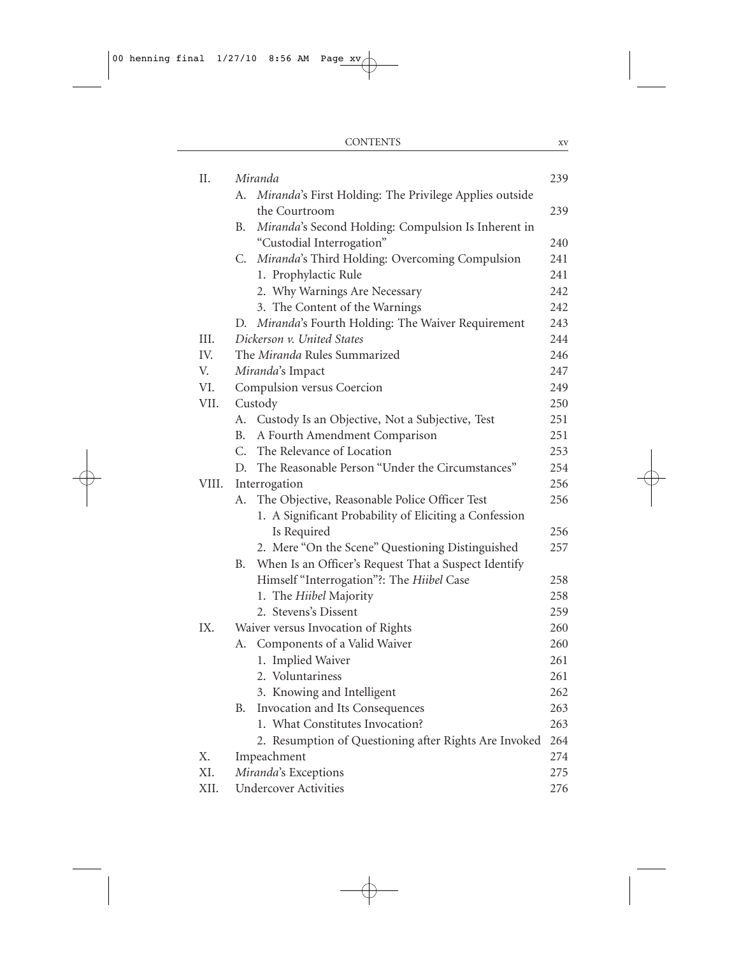| II.   | Miranda                                                      | 239 |
|-------|--------------------------------------------------------------|-----|
|       | Miranda's First Holding: The Privilege Applies outside<br>А. |     |
|       | the Courtroom                                                | 239 |
|       | Miranda's Second Holding: Compulsion Is Inherent in<br>В.    |     |
|       | "Custodial Interrogation"                                    | 240 |
|       | C.<br>Miranda's Third Holding: Overcoming Compulsion         | 241 |
|       | 1. Prophylactic Rule                                         | 241 |
|       | 2. Why Warnings Are Necessary                                | 242 |
|       | 3. The Content of the Warnings                               | 242 |
|       | Miranda's Fourth Holding: The Waiver Requirement<br>D.       | 243 |
| III.  | Dickerson v. United States                                   | 244 |
| IV.   | The Miranda Rules Summarized                                 | 246 |
| V.    | Miranda's Impact                                             | 247 |
| VI.   | Compulsion versus Coercion                                   | 249 |
| VII.  | Custody                                                      | 250 |
|       | Custody Is an Objective, Not a Subjective, Test<br>А.        | 251 |
|       | A Fourth Amendment Comparison<br>В.                          | 251 |
|       | C.<br>The Relevance of Location                              | 253 |
|       | The Reasonable Person "Under the Circumstances"<br>D.        | 254 |
| VIII. | Interrogation                                                | 256 |
|       | The Objective, Reasonable Police Officer Test<br>А.          | 256 |
|       | 1. A Significant Probability of Eliciting a Confession       |     |
|       | Is Required                                                  | 256 |
|       | 2. Mere "On the Scene" Questioning Distinguished             | 257 |
|       | When Is an Officer's Request That a Suspect Identify<br>В.   |     |
|       | Himself "Interrogation"?: The Hiibel Case                    | 258 |
|       | 1. The Hiibel Majority                                       | 258 |
|       | 2. Stevens's Dissent                                         | 259 |
| IX.   | Waiver versus Invocation of Rights                           | 260 |
|       | Components of a Valid Waiver<br>А.                           | 260 |
|       | 1. Implied Waiver                                            | 261 |
|       | 2. Voluntariness                                             | 261 |
|       | 3. Knowing and Intelligent                                   | 262 |
|       | Invocation and Its Consequences<br>В.                        | 263 |
|       | 1. What Constitutes Invocation?                              | 263 |
|       | 2. Resumption of Questioning after Rights Are Invoked        | 264 |
| Χ.    | Impeachment                                                  | 274 |
| XI.   | Miranda's Exceptions                                         | 275 |
| XII.  | <b>Undercover Activities</b>                                 | 276 |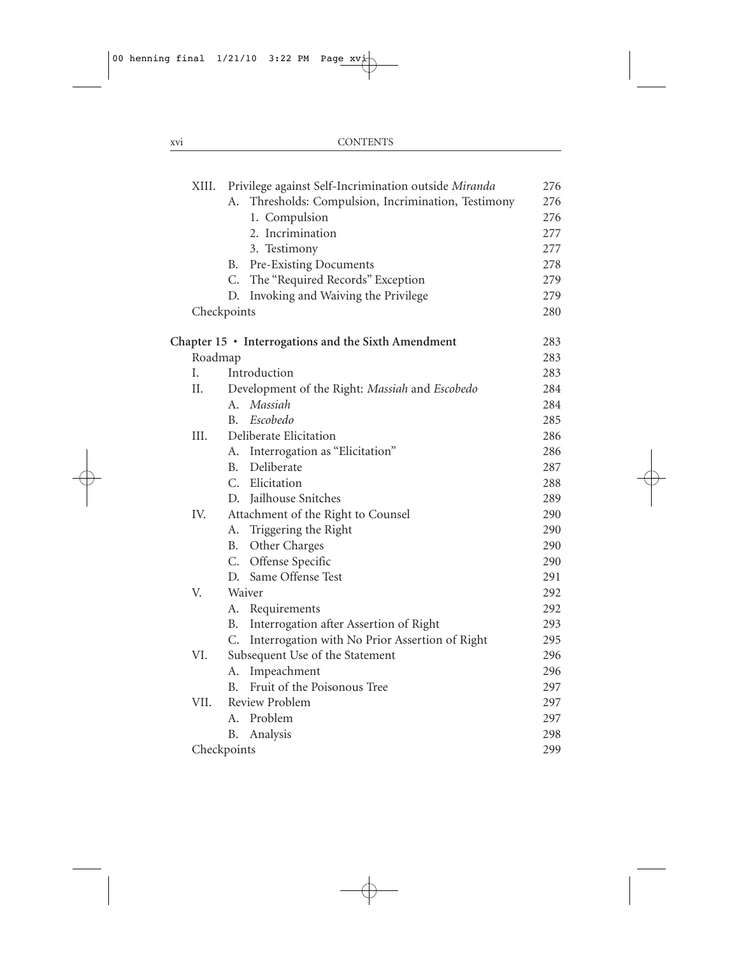| XIII. | Privilege against Self-Incrimination outside Miranda   | 276 |
|-------|--------------------------------------------------------|-----|
|       | Thresholds: Compulsion, Incrimination, Testimony<br>А. | 276 |
|       | 1. Compulsion                                          | 276 |
|       | 2. Incrimination                                       | 277 |
|       | 3. Testimony                                           | 277 |
|       | Pre-Existing Documents<br>В.                           | 278 |
|       | The "Required Records" Exception<br>C.                 | 279 |
|       | D. Invoking and Waiving the Privilege                  | 279 |
|       | Checkpoints                                            | 280 |
|       | Chapter 15 • Interrogations and the Sixth Amendment    | 283 |
|       | Roadmap                                                | 283 |
| I.    | Introduction                                           | 283 |
| II.   | Development of the Right: Massiah and Escobedo         | 284 |
|       | Massiah<br>A.                                          | 284 |
|       | Escobedo<br>B.                                         | 285 |
| III.  | Deliberate Elicitation                                 | 286 |
|       | A. Interrogation as "Elicitation"                      | 286 |
|       | Deliberate<br>B.                                       | 287 |
|       | C. Elicitation                                         | 288 |
|       | D. Jailhouse Snitches                                  | 289 |
| IV.   | Attachment of the Right to Counsel                     | 290 |
|       | A. Triggering the Right                                | 290 |
|       | Other Charges<br>В.                                    | 290 |
|       | C. Offense Specific                                    | 290 |
|       | D. Same Offense Test                                   | 291 |
| V.    | Waiver                                                 | 292 |
|       | A. Requirements                                        | 292 |
|       | Interrogation after Assertion of Right<br>В.           | 293 |
|       | Interrogation with No Prior Assertion of Right<br>C.   | 295 |
| VI.   | Subsequent Use of the Statement                        | 296 |
|       | Impeachment<br>А.                                      | 296 |
|       | Fruit of the Poisonous Tree<br><sup>R</sup>            | 297 |
| VII.  | Review Problem                                         | 297 |
|       | A. Problem                                             | 297 |
|       | B.<br>Analysis                                         | 298 |
|       | Checkpoints                                            | 299 |
|       |                                                        |     |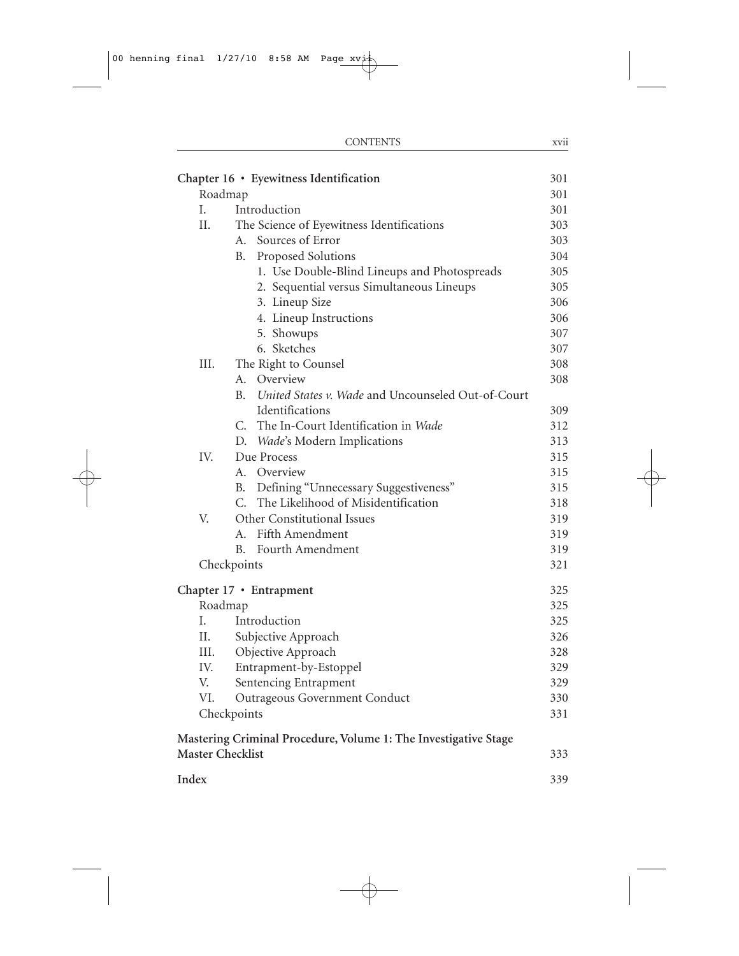|                         | <b>CONTENTS</b>                                                 | xvii |
|-------------------------|-----------------------------------------------------------------|------|
|                         | Chapter 16 • Eyewitness Identification                          | 301  |
|                         | Roadmap                                                         | 301  |
| I.                      | Introduction                                                    | 301  |
| Η.                      | The Science of Eyewitness Identifications                       | 303  |
|                         | Sources of Error<br>А.                                          | 303  |
|                         | Proposed Solutions<br><b>B.</b>                                 | 304  |
|                         | 1. Use Double-Blind Lineups and Photospreads                    | 305  |
|                         | 2. Sequential versus Simultaneous Lineups                       | 305  |
|                         | 3. Lineup Size                                                  | 306  |
|                         | 4. Lineup Instructions                                          | 306  |
|                         | 5. Showups                                                      | 307  |
|                         | 6. Sketches                                                     | 307  |
| III.                    | The Right to Counsel                                            | 308  |
|                         | A. Overview                                                     | 308  |
|                         | United States v. Wade and Uncounseled Out-of-Court<br>В.        |      |
|                         | Identifications                                                 | 309  |
|                         | The In-Court Identification in Wade<br>C.                       | 312  |
|                         | D. Wade's Modern Implications                                   | 313  |
| IV.                     | Due Process                                                     | 315  |
|                         | A. Overview                                                     | 315  |
|                         | Defining "Unnecessary Suggestiveness"<br><b>B.</b>              | 315  |
|                         | The Likelihood of Misidentification<br>$C_{\cdot}$              | 318  |
| V.                      | Other Constitutional Issues                                     | 319  |
|                         | Fifth Amendment<br>А.                                           | 319  |
|                         | Fourth Amendment<br>В.                                          | 319  |
|                         | Checkpoints                                                     | 321  |
|                         |                                                                 |      |
|                         | Chapter 17 • Entrapment                                         | 325  |
|                         | Roadmap                                                         | 325  |
| I.                      | Introduction                                                    | 325  |
| Η.                      | Subjective Approach                                             | 326  |
| III.                    | Objective Approach                                              | 328  |
| IV.                     | Entrapment-by-Estoppel                                          | 329  |
| V.                      | Sentencing Entrapment                                           | 329  |
| VI.                     | Outrageous Government Conduct                                   | 330  |
|                         | Checkpoints                                                     | 331  |
|                         | Mastering Criminal Procedure, Volume 1: The Investigative Stage |      |
| <b>Master Checklist</b> |                                                                 | 333  |
|                         |                                                                 |      |
| Index                   |                                                                 | 339  |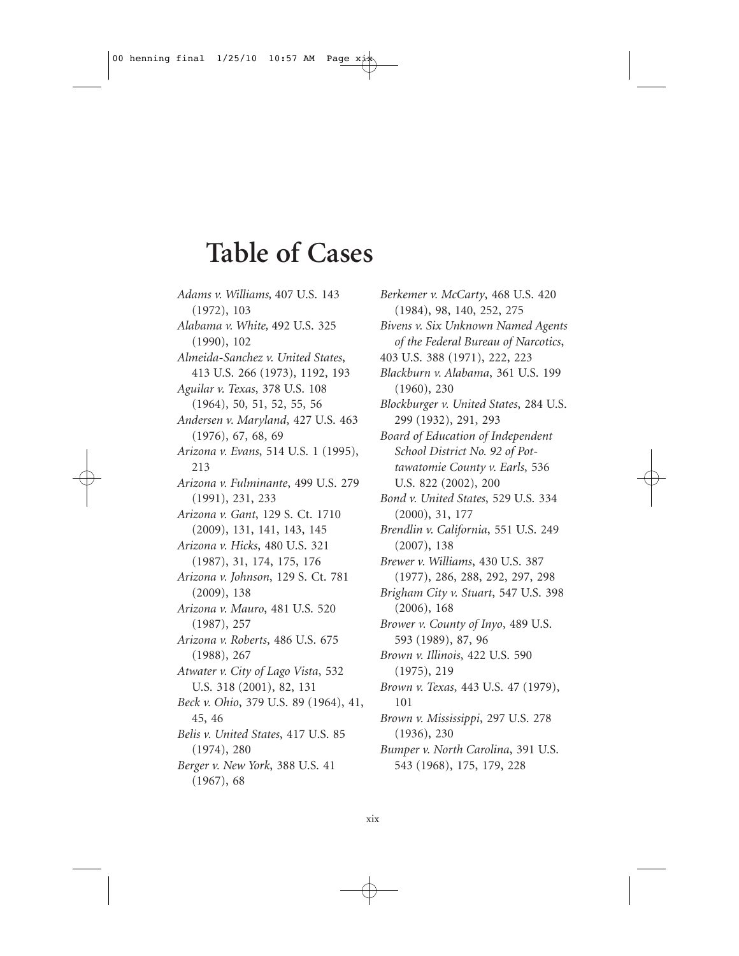## **Table of Cases**

*Adams v. Williams,* 407 U.S. 143 (1972), 103 *Alabama v. White,* 492 U.S. 325 (1990), 102 *Almeida-Sanchez v. United States*, 413 U.S. 266 (1973), 1192, 193 *Aguilar v. Texas*, 378 U.S. 108 (1964), 50, 51, 52, 55, 56 *Andersen v. Maryland*, 427 U.S. 463 (1976), 67, 68, 69 *Arizona v. Evans*, 514 U.S. 1 (1995), 213 *Arizona v. Fulminante*, 499 U.S. 279 (1991), 231, 233 *Arizona v. Gant*, 129 S. Ct. 1710 (2009), 131, 141, 143, 145 *Arizona v. Hicks*, 480 U.S. 321 (1987), 31, 174, 175, 176 *Arizona v. Johnson*, 129 S. Ct. 781 (2009), 138 *Arizona v. Mauro*, 481 U.S. 520 (1987), 257 *Arizona v. Roberts*, 486 U.S. 675 (1988), 267 *Atwater v. City of Lago Vista*, 532 U.S. 318 (2001), 82, 131 *Beck v. Ohio*, 379 U.S. 89 (1964), 41, 45, 46 *Belis v. United States*, 417 U.S. 85 (1974), 280 *Berger v. New York*, 388 U.S. 41 (1967), 68

*Berkemer v. McCarty*, 468 U.S. 420 (1984), 98, 140, 252, 275 *Bivens v. Six Unknown Named Agents of the Federal Bureau of Narcotics*, 403 U.S. 388 (1971), 222, 223 *Blackburn v. Alabama*, 361 U.S. 199 (1960), 230 *Blockburger v. United States*, 284 U.S. 299 (1932), 291, 293 *Board of Education of Independent School District No. 92 of Pottawatomie County v. Earls*, 536 U.S. 822 (2002), 200 *Bond v. United States*, 529 U.S. 334 (2000), 31, 177 *Brendlin v. California*, 551 U.S. 249 (2007), 138 *Brewer v. Williams*, 430 U.S. 387 (1977), 286, 288, 292, 297, 298 *Brigham City v. Stuart*, 547 U.S. 398 (2006), 168 *Brower v. County of Inyo*, 489 U.S. 593 (1989), 87, 96 *Brown v. Illinois*, 422 U.S. 590 (1975), 219 *Brown v. Texas*, 443 U.S. 47 (1979), 101 *Brown v. Mississippi*, 297 U.S. 278 (1936), 230 *Bumper v. North Carolina*, 391 U.S. 543 (1968), 175, 179, 228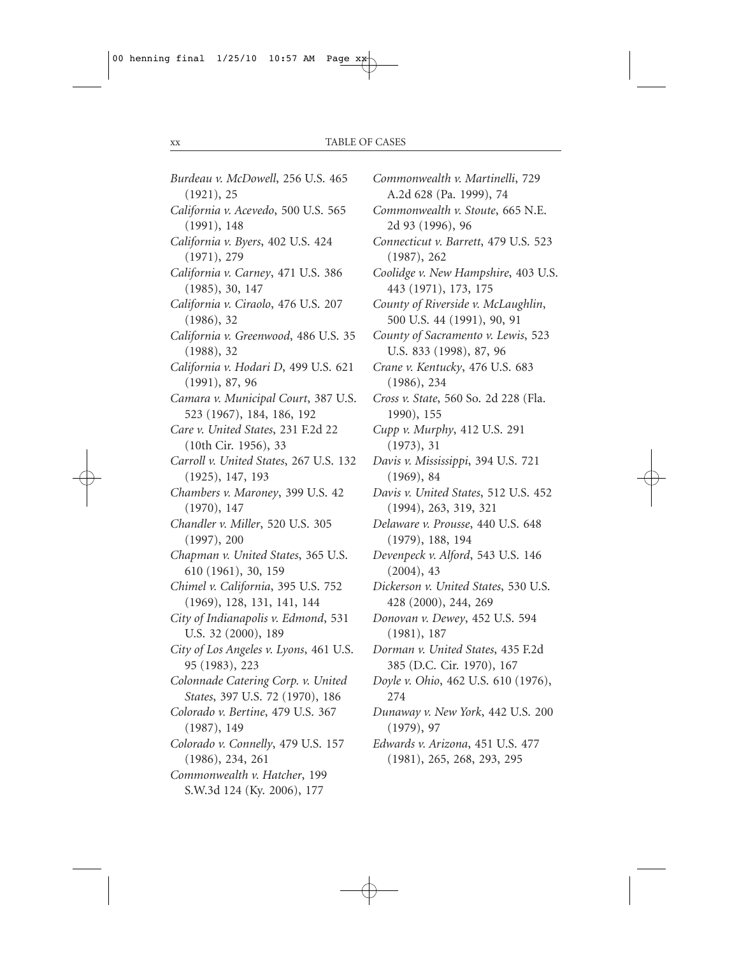| Burdeau v. McDowell, 256 U.S. 465      |
|----------------------------------------|
| (1921), 25                             |
| California v. Acevedo, 500 U.S. 565    |
| (1991), 148                            |
| California v. Byers, 402 U.S. 424      |
| (1971), 279                            |
| California v. Carney, 471 U.S. 386     |
| (1985), 30, 147                        |
| California v. Ciraolo, 476 U.S. 207    |
| (1986), 32                             |
| California v. Greenwood, 486 U.S. 35   |
| (1988), 32                             |
| California v. Hodari D, 499 U.S. 621   |
| (1991), 87, 96                         |
| Camara v. Municipal Court, 387 U.S.    |
| 523 (1967), 184, 186, 192              |
| Care v. United States, 231 F.2d 22     |
| (10th Cir. 1956), 33                   |
| Carroll v. United States, 267 U.S. 132 |
| (1925), 147, 193                       |
| Chambers v. Maroney, 399 U.S. 42       |
| (1970), 147                            |
| Chandler v. Miller, 520 U.S. 305       |
| (1997), 200                            |
| Chapman v. United States, 365 U.S.     |
| 610 (1961), 30, 159                    |
| Chimel v. California, 395 U.S. 752     |
| (1969), 128, 131, 141, 144             |
| City of Indianapolis v. Edmond, 531    |
| U.S. 32 (2000), 189                    |
| City of Los Angeles v. Lyons, 461 U.S. |
| 95 (1983), 223                         |
| Colonnade Catering Corp. v. United     |
| States, 397 U.S. 72 (1970), 186        |
| Colorado v. Bertine, 479 U.S. 367      |
| (1987), 149                            |
| Colorado v. Connelly, 479 U.S. 157     |
| (1986), 234, 261                       |
| Commonwealth v. Hatcher, 199           |
| S.W.3d 124 (Ky. 2006), 177             |

*Commonwealth v. Martinelli*, 729 A.2d 628 (Pa. 1999), 74 *Commonwealth v. Stoute*, 665 N.E. 2d 93 (1996), 96 *Connecticut v. Barrett*, 479 U.S. 523 (1987), 262 *Coolidge v. New Hampshire*, 403 U.S. 443 (1971), 173, 175 *County of Riverside v. McLaughlin*, 500 U.S. 44 (1991), 90, 91 *County of Sacramento v. Lewis*, 523 U.S. 833 (1998), 87, 96 *Crane v. Kentucky*, 476 U.S. 683 (1986), 234 *Cross v. State*, 560 So. 2d 228 (Fla. 1990), 155 *Cupp v. Murphy*, 412 U.S. 291 (1973), 31 *Davis v. Mississippi*, 394 U.S. 721 (1969), 84 *Davis v. United States*, 512 U.S. 452 (1994), 263, 319, 321 *Delaware v. Prousse*, 440 U.S. 648 (1979), 188, 194 *Devenpeck v. Alford*, 543 U.S. 146 (2004), 43 *Dickerson v. United States*, 530 U.S. 428 (2000), 244, 269 *Donovan v. Dewey*, 452 U.S. 594 (1981), 187 *Dorman v. United States*, 435 F.2d 385 (D.C. Cir. 1970), 167 *Doyle v. Ohio*, 462 U.S. 610 (1976), 274 *Dunaway v. New York*, 442 U.S. 200 (1979), 97 *Edwards v. Arizona*, 451 U.S. 477 (1981), 265, 268, 293, 295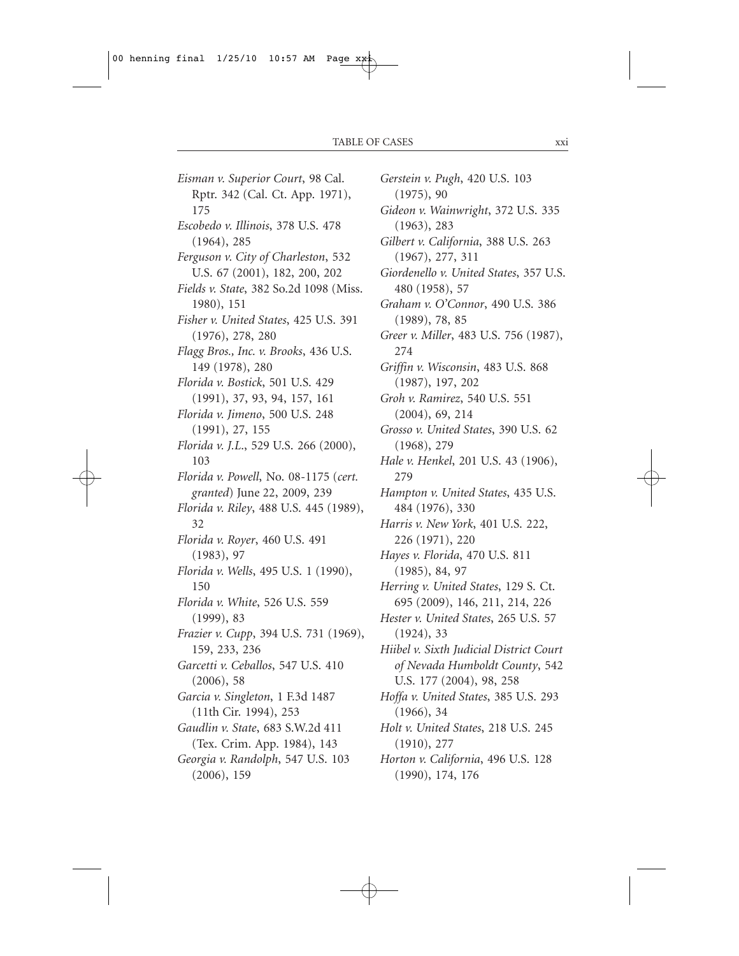*Eisman v. Superior Court*, 98 Cal. Rptr. 342 (Cal. Ct. App. 1971), 175 *Escobedo v. Illinois*, 378 U.S. 478 (1964), 285 *Ferguson v. City of Charleston*, 532 U.S. 67 (2001), 182, 200, 202 *Fields v. State*, 382 So.2d 1098 (Miss. 1980), 151 *Fisher v. United States*, 425 U.S. 391 (1976), 278, 280 *Flagg Bros., Inc. v. Brooks*, 436 U.S. 149 (1978), 280 *Florida v. Bostick*, 501 U.S. 429 (1991), 37, 93, 94, 157, 161 *Florida v. Jimeno*, 500 U.S. 248 (1991), 27, 155 *Florida v. J.L*., 529 U.S. 266 (2000), 103 *Florida v. Powell*, No. 08-1175 (*cert. granted*) June 22, 2009, 239 *Florida v. Riley*, 488 U.S. 445 (1989), 32 *Florida v. Royer*, 460 U.S. 491 (1983), 97 *Florida v. Wells*, 495 U.S. 1 (1990), 150 *Florida v. White*, 526 U.S. 559 (1999), 83 *Frazier v. Cupp*, 394 U.S. 731 (1969), 159, 233, 236 *Garcetti v. Ceballos*, 547 U.S. 410 (2006), 58 *Garcia v. Singleton*, 1 F.3d 1487 (11th Cir. 1994), 253 *Gaudlin v. State*, 683 S.W.2d 411 (Tex. Crim. App. 1984), 143 *Georgia v. Randolph*, 547 U.S. 103 (2006), 159

*Gerstein v. Pugh*, 420 U.S. 103 (1975), 90 *Gideon v. Wainwright*, 372 U.S. 335 (1963), 283 *Gilbert v. California*, 388 U.S. 263 (1967), 277, 311 *Giordenello v. United States*, 357 U.S. 480 (1958), 57 *Graham v. O'Connor*, 490 U.S. 386 (1989), 78, 85 *Greer v. Miller*, 483 U.S. 756 (1987), 274 *Griffin v. Wisconsin*, 483 U.S. 868 (1987), 197, 202 *Groh v. Ramirez*, 540 U.S. 551 (2004), 69, 214 *Grosso v. United States*, 390 U.S. 62 (1968), 279 *Hale v. Henkel*, 201 U.S. 43 (1906), 279 *Hampton v. United States*, 435 U.S. 484 (1976), 330 *Harris v. New York*, 401 U.S. 222, 226 (1971), 220 *Hayes v. Florida*, 470 U.S. 811 (1985), 84, 97 *Herring v. United States*, 129 S. Ct. 695 (2009), 146, 211, 214, 226 *Hester v. United States*, 265 U.S. 57 (1924), 33 *Hiibel v. Sixth Judicial District Court of Nevada Humboldt County*, 542 U.S. 177 (2004), 98, 258 *Hoffa v. United States*, 385 U.S. 293 (1966), 34 *Holt v. United States*, 218 U.S. 245 (1910), 277 *Horton v. California*, 496 U.S. 128 (1990), 174, 176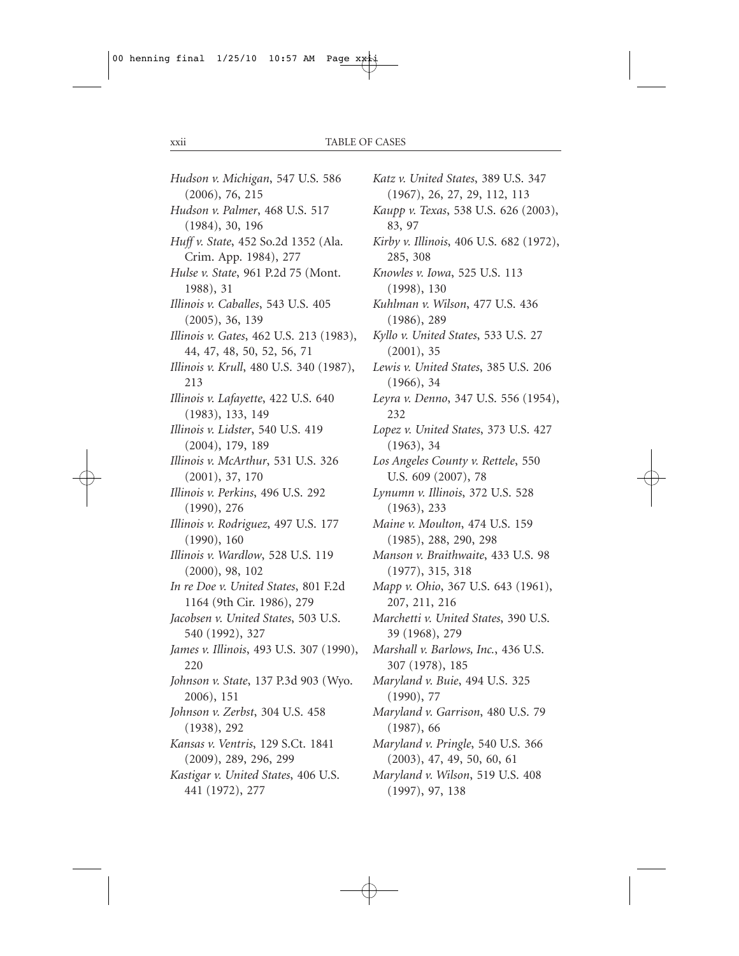*Hudson v. Michigan*, 547 U.S. 586 (2006), 76, 215 *Hudson v. Palmer*, 468 U.S. 517 (1984), 30, 196 *Huff v. State*, 452 So.2d 1352 (Ala. Crim. App. 1984), 277 *Hulse v. State*, 961 P.2d 75 (Mont. 1988), 31 *Illinois v. Caballes*, 543 U.S. 405 (2005), 36, 139 *Illinois v. Gates*, 462 U.S. 213 (1983), 44, 47, 48, 50, 52, 56, 71 *Illinois v. Krull*, 480 U.S. 340 (1987), 213 *Illinois v. Lafayette*, 422 U.S. 640 (1983), 133, 149 *Illinois v. Lidster*, 540 U.S. 419 (2004), 179, 189 *Illinois v. McArthur*, 531 U.S. 326 (2001), 37, 170 *Illinois v. Perkins*, 496 U.S. 292 (1990), 276 *Illinois v. Rodriguez*, 497 U.S. 177 (1990), 160 *Illinois v. Wardlow*, 528 U.S. 119 (2000), 98, 102 *In re Doe v. United States*, 801 F.2d 1164 (9th Cir. 1986), 279 *Jacobsen v. United States*, 503 U.S. 540 (1992), 327 *James v. Illinois*, 493 U.S. 307 (1990), 220 *Johnson v. State*, 137 P.3d 903 (Wyo. 2006), 151 *Johnson v. Zerbst*, 304 U.S. 458 (1938), 292 *Kansas v. Ventris*, 129 S.Ct. 1841 (2009), 289, 296, 299 *Kastigar v. United States*, 406 U.S. 441 (1972), 277

*Katz v. United States*, 389 U.S. 347 (1967), 26, 27, 29, 112, 113 *Kaupp v. Texas*, 538 U.S. 626 (2003), 83, 97 *Kirby v. Illinois*, 406 U.S. 682 (1972), 285, 308 *Knowles v. Iowa*, 525 U.S. 113 (1998), 130 *Kuhlman v. Wilson*, 477 U.S. 436 (1986), 289 *Kyllo v. United States*, 533 U.S. 27 (2001), 35 *Lewis v. United States*, 385 U.S. 206 (1966), 34 *Leyra v. Denno*, 347 U.S. 556 (1954), 232 *Lopez v. United States*, 373 U.S. 427 (1963), 34 *Los Angeles County v. Rettele*, 550 U.S. 609 (2007), 78 *Lynumn v. Illinois*, 372 U.S. 528 (1963), 233 *Maine v. Moulton*, 474 U.S. 159 (1985), 288, 290, 298 *Manson v. Braithwaite*, 433 U.S. 98 (1977), 315, 318 *Mapp v. Ohio*, 367 U.S. 643 (1961), 207, 211, 216 *Marchetti v. United States*, 390 U.S. 39 (1968), 279 *Marshall v. Barlows, Inc.*, 436 U.S. 307 (1978), 185 *Maryland v. Buie*, 494 U.S. 325 (1990), 77 *Maryland v. Garrison*, 480 U.S. 79 (1987), 66 *Maryland v. Pringle*, 540 U.S. 366 (2003), 47, 49, 50, 60, 61 *Maryland v. Wilson*, 519 U.S. 408 (1997), 97, 138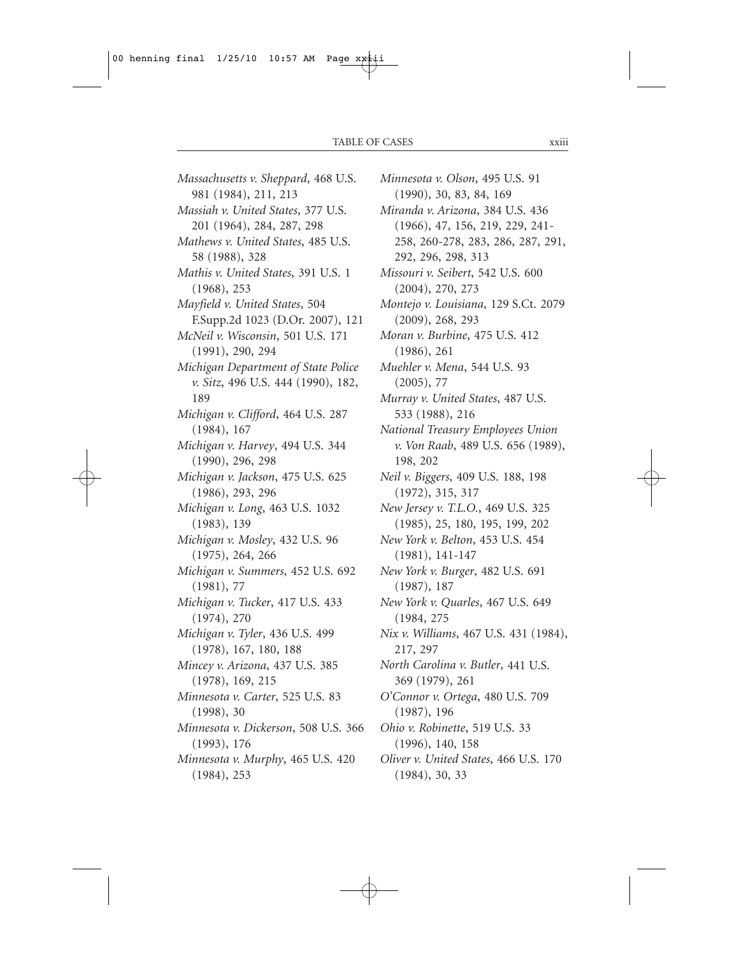*Massachusetts v. Sheppard*, 468 U.S. 981 (1984), 211, 213 *Massiah v. United States*, 377 U.S. 201 (1964), 284, 287, 298 *Mathews v. United States*, 485 U.S. 58 (1988), 328 *Mathis v. United States*, 391 U.S. 1 (1968), 253 *Mayfield v. United States*, 504 F.Supp.2d 1023 (D.Or. 2007), 121 *McNeil v. Wisconsin*, 501 U.S. 171 (1991), 290, 294 *Michigan Department of State Police v. Sitz*, 496 U.S. 444 (1990), 182, 189 *Michigan v. Clifford*, 464 U.S. 287 (1984), 167 *Michigan v. Harvey*, 494 U.S. 344 (1990), 296, 298 *Michigan v. Jackson*, 475 U.S. 625 (1986), 293, 296 *Michigan v. Long*, 463 U.S. 1032 (1983), 139 *Michigan v. Mosley*, 432 U.S. 96 (1975), 264, 266 *Michigan v. Summers*, 452 U.S. 692 (1981), 77 *Michigan v. Tucker*, 417 U.S. 433 (1974), 270 *Michigan v. Tyler*, 436 U.S. 499 (1978), 167, 180, 188 *Mincey v. Arizona*, 437 U.S. 385 (1978), 169, 215 *Minnesota v. Carter*, 525 U.S. 83 (1998), 30 *Minnesota v. Dickerson*, 508 U.S. 366 (1993), 176 *Minnesota v. Murphy*, 465 U.S. 420 (1984), 253

*Minnesota v. Olson*, 495 U.S. 91 (1990), 30, 83, 84, 169 *Miranda v. Arizona*, 384 U.S. 436 (1966), 47, 156, 219, 229, 241- 258, 260-278, 283, 286, 287, 291, 292, 296, 298, 313 *Missouri v. Seibert*, 542 U.S. 600 (2004), 270, 273 *Montejo v. Louisiana*, 129 S.Ct. 2079 (2009), 268, 293 *Moran v. Burbine*, 475 U.S. 412 (1986), 261 *Muehler v. Mena*, 544 U.S. 93 (2005), 77 *Murray v. United States*, 487 U.S. 533 (1988), 216 *National Treasury Employees Union v. Von Raab*, 489 U.S. 656 (1989), 198, 202 *Neil v. Biggers*, 409 U.S. 188, 198 (1972), 315, 317 *New Jersey v. T.L.O.*, 469 U.S. 325 (1985), 25, 180, 195, 199, 202 *New York v. Belton*, 453 U.S. 454 (1981), 141-147 *New York v. Burger*, 482 U.S. 691 (1987), 187 *New York v. Quarles*, 467 U.S. 649 (1984, 275 *Nix v. Williams*, 467 U.S. 431 (1984), 217, 297 *North Carolina v. Butler*, 441 U.S. 369 (1979), 261 *O'Connor v. Ortega*, 480 U.S. 709 (1987), 196 *Ohio v. Robinette*, 519 U.S. 33 (1996), 140, 158 *Oliver v. United States*, 466 U.S. 170 (1984), 30, 33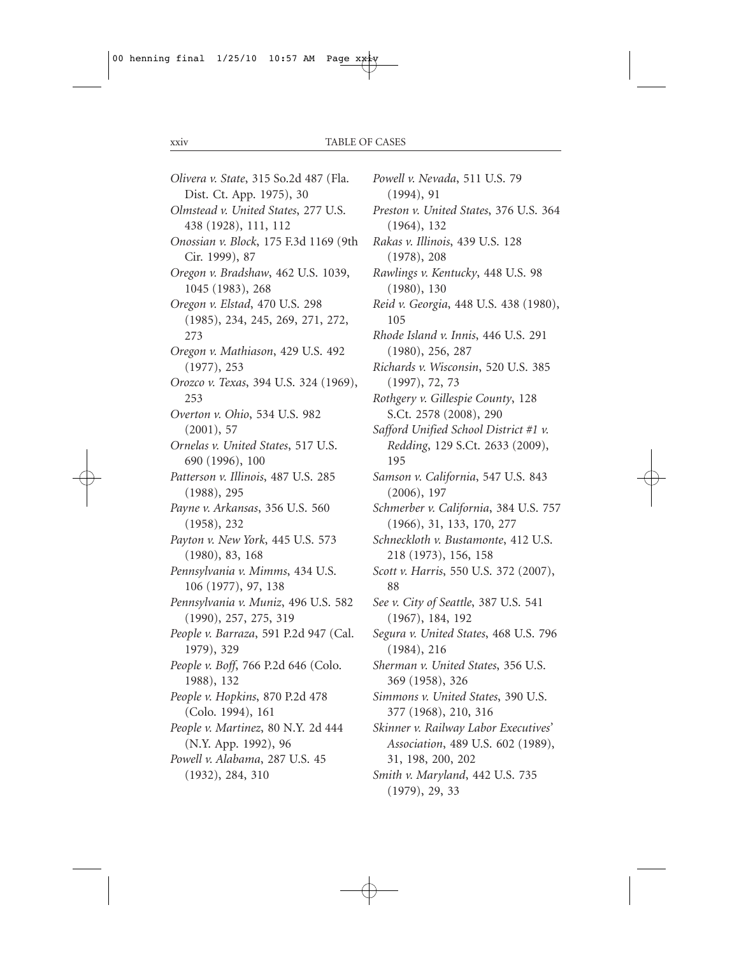*Olivera v. State*, 315 So.2d 487 (Fla. Dist. Ct. App. 1975), 30 *Olmstead v. United States*, 277 U.S. 438 (1928), 111, 112 *Onossian v. Block*, 175 F.3d 1169 (9th Cir. 1999), 87 *Oregon v. Bradshaw*, 462 U.S. 1039, 1045 (1983), 268 *Oregon v. Elstad*, 470 U.S. 298 (1985), 234, 245, 269, 271, 272, 273 *Oregon v. Mathiason*, 429 U.S. 492 (1977), 253 *Orozco v. Texas*, 394 U.S. 324 (1969), 253 *Overton v. Ohio*, 534 U.S. 982 (2001), 57 *Ornelas v. United States*, 517 U.S. 690 (1996), 100 *Patterson v. Illinois*, 487 U.S. 285 (1988), 295 *Payne v. Arkansas*, 356 U.S. 560 (1958), 232 *Payton v. New York*, 445 U.S. 573 (1980), 83, 168 *Pennsylvania v. Mimms*, 434 U.S. 106 (1977), 97, 138 *Pennsylvania v. Muniz*, 496 U.S. 582 (1990), 257, 275, 319 *People v. Barraza*, 591 P.2d 947 (Cal. 1979), 329 *People v. Boff*, 766 P.2d 646 (Colo. 1988), 132 *People v. Hopkins*, 870 P.2d 478 (Colo. 1994), 161 *People v. Martinez*, 80 N.Y. 2d 444 (N.Y. App. 1992), 96 *Powell v. Alabama*, 287 U.S. 45 (1932), 284, 310

*Powell v. Nevada*, 511 U.S. 79 (1994), 91 *Preston v. United States*, 376 U.S. 364 (1964), 132 *Rakas v. Illinois*, 439 U.S. 128 (1978), 208 *Rawlings v. Kentucky*, 448 U.S. 98 (1980), 130 *Reid v. Georgia*, 448 U.S. 438 (1980), 105 *Rhode Island v. Innis*, 446 U.S. 291 (1980), 256, 287 *Richards v. Wisconsin*, 520 U.S. 385 (1997), 72, 73 *Rothgery v. Gillespie County*, 128 S.Ct. 2578 (2008), 290 *Safford Unified School District #1 v. Redding*, 129 S.Ct. 2633 (2009), 195 *Samson v. California*, 547 U.S. 843 (2006), 197 *Schmerber v. California*, 384 U.S. 757 (1966), 31, 133, 170, 277 *Schneckloth v. Bustamonte*, 412 U.S. 218 (1973), 156, 158 *Scott v. Harris*, 550 U.S. 372 (2007), 88 *See v. City of Seattle*, 387 U.S. 541 (1967), 184, 192 *Segura v. United States*, 468 U.S. 796 (1984), 216 *Sherman v. United States*, 356 U.S. 369 (1958), 326 *Simmons v. United States*, 390 U.S. 377 (1968), 210, 316 *Skinner v. Railway Labor Executives' Association*, 489 U.S. 602 (1989), 31, 198, 200, 202 *Smith v. Maryland*, 442 U.S. 735 (1979), 29, 33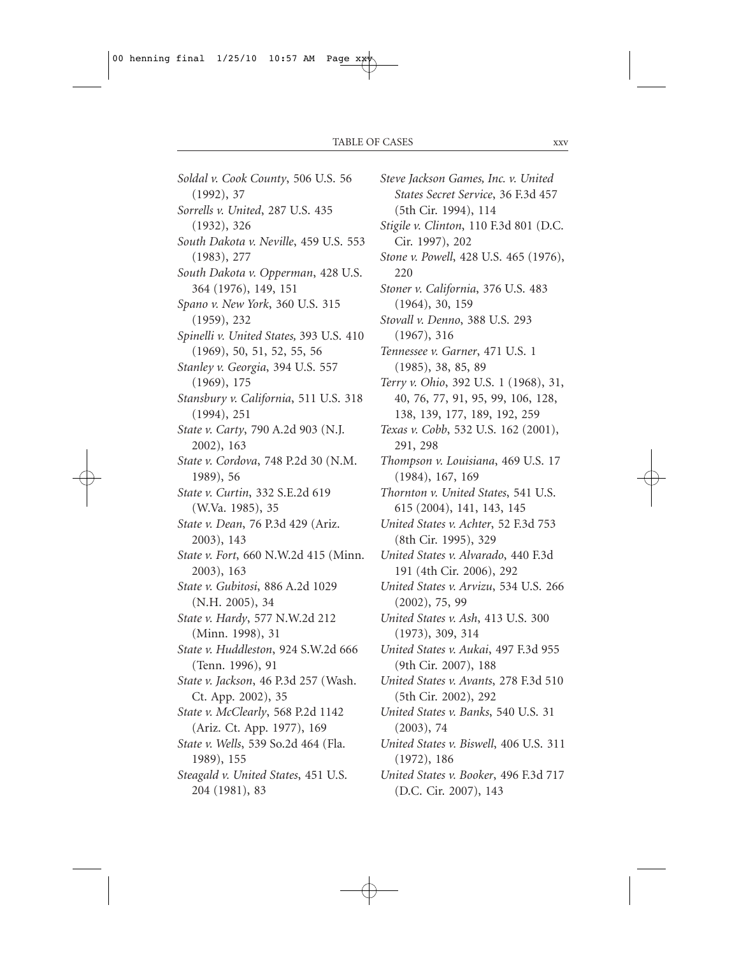*Soldal v. Cook County*, 506 U.S. 56 (1992), 37 *Sorrells v. United*, 287 U.S. 435 (1932), 326 *South Dakota v. Neville*, 459 U.S. 553 (1983), 277 *South Dakota v. Opperman*, 428 U.S. 364 (1976), 149, 151 *Spano v. New York*, 360 U.S. 315 (1959), 232 *Spinelli v. United States,* 393 U.S. 410 (1969), 50, 51, 52, 55, 56 *Stanley v. Georgia*, 394 U.S. 557 (1969), 175 *Stansbury v. California*, 511 U.S. 318 (1994), 251 *State v. Carty*, 790 A.2d 903 (N.J. 2002), 163 *State v. Cordova*, 748 P.2d 30 (N.M. 1989), 56 *State v. Curtin*, 332 S.E.2d 619 (W.Va. 1985), 35 *State v. Dean*, 76 P.3d 429 (Ariz. 2003), 143 *State v. Fort*, 660 N.W.2d 415 (Minn. 2003), 163 *State v. Gubitosi*, 886 A.2d 1029 (N.H. 2005), 34 *State v. Hardy*, 577 N.W.2d 212 (Minn. 1998), 31 *State v. Huddleston*, 924 S.W.2d 666 (Tenn. 1996), 91 *State v. Jackson*, 46 P.3d 257 (Wash. Ct. App. 2002), 35 *State v. McClearly*, 568 P.2d 1142 (Ariz. Ct. App. 1977), 169 *State v. Wells*, 539 So.2d 464 (Fla. 1989), 155 *Steagald v. United States*, 451 U.S. 204 (1981), 83

*Steve Jackson Games, Inc. v. United States Secret Service*, 36 F.3d 457 (5th Cir. 1994), 114 *Stigile v. Clinton*, 110 F.3d 801 (D.C. Cir. 1997), 202 *Stone v. Powell*, 428 U.S. 465 (1976), 220 *Stoner v. California*, 376 U.S. 483 (1964), 30, 159 *Stovall v. Denno*, 388 U.S. 293 (1967), 316 *Tennessee v. Garner*, 471 U.S. 1 (1985), 38, 85, 89 *Terry v. Ohio*, 392 U.S. 1 (1968), 31, 40, 76, 77, 91, 95, 99, 106, 128, 138, 139, 177, 189, 192, 259 *Texas v. Cobb*, 532 U.S. 162 (2001), 291, 298 *Thompson v. Louisiana*, 469 U.S. 17 (1984), 167, 169 *Thornton v. United States*, 541 U.S. 615 (2004), 141, 143, 145 *United States v. Achter*, 52 F.3d 753 (8th Cir. 1995), 329 *United States v. Alvarado*, 440 F.3d 191 (4th Cir. 2006), 292 *United States v. Arvizu*, 534 U.S. 266 (2002), 75, 99 *United States v. Ash*, 413 U.S. 300 (1973), 309, 314 *United States v. Aukai*, 497 F.3d 955 (9th Cir. 2007), 188 *United States v. Avants*, 278 F.3d 510 (5th Cir. 2002), 292 *United States v. Banks*, 540 U.S. 31 (2003), 74 *United States v. Biswell*, 406 U.S. 311 (1972), 186 *United States v. Booker*, 496 F.3d 717 (D.C. Cir. 2007), 143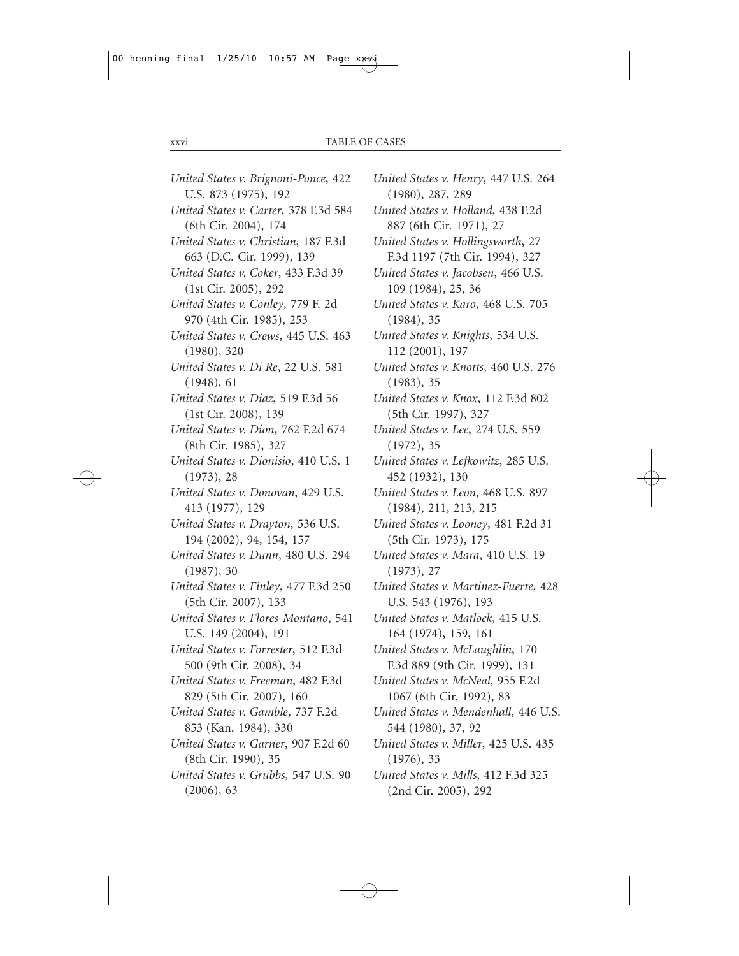*United States v. Brignoni-Ponce*, 422 U.S. 873 (1975), 192 *United States v. Carter*, 378 F.3d 584 (6th Cir. 2004), 174 *United States v. Christian*, 187 F.3d 663 (D.C. Cir. 1999), 139 *United States v. Coker*, 433 F.3d 39 (1st Cir. 2005), 292 *United States v. Conley*, 779 F. 2d 970 (4th Cir. 1985), 253 *United States v. Crews*, 445 U.S. 463 (1980), 320 *United States v. Di Re*, 22 U.S. 581 (1948), 61 *United States v. Diaz*, 519 F.3d 56 (1st Cir. 2008), 139 *United States v. Dion*, 762 F.2d 674 (8th Cir. 1985), 327 *United States v. Dionisio*, 410 U.S. 1 (1973), 28 *United States v. Donovan*, 429 U.S. 413 (1977), 129 *United States v. Drayton*, 536 U.S. 194 (2002), 94, 154, 157 *United States v. Dunn*, 480 U.S. 294 (1987), 30 *United States v. Finley*, 477 F.3d 250 (5th Cir. 2007), 133 *United States v. Flores-Montano*, 541 U.S. 149 (2004), 191 *United States v. Forrester*, 512 F.3d 500 (9th Cir. 2008), 34 *United States v. Freeman*, 482 F.3d 829 (5th Cir. 2007), 160 *United States v. Gamble*, 737 F.2d 853 (Kan. 1984), 330 *United States v. Garner*, 907 F.2d 60 (8th Cir. 1990), 35 *United States v. Grubbs*, 547 U.S. 90 (2006), 63

*United States v. Henry*, 447 U.S. 264 (1980), 287, 289 *United States v. Holland*, 438 F.2d 887 (6th Cir. 1971), 27 *United States v. Hollingsworth*, 27 F.3d 1197 (7th Cir. 1994), 327 *United States v. Jacobsen*, 466 U.S. 109 (1984), 25, 36 *United States v. Karo*, 468 U.S. 705 (1984), 35 *United States v. Knights*, 534 U.S. 112 (2001), 197 *United States v. Knotts*, 460 U.S. 276 (1983), 35 *United States v. Knox*, 112 F.3d 802 (5th Cir. 1997), 327 *United States v. Lee*, 274 U.S. 559 (1972), 35 *United States v. Lefkowitz*, 285 U.S. 452 (1932), 130 *United States v. Leon*, 468 U.S. 897 (1984), 211, 213, 215 *United States v. Looney*, 481 F.2d 31 (5th Cir. 1973), 175 *United States v. Mara*, 410 U.S. 19 (1973), 27 *United States v. Martinez-Fuerte*, 428 U.S. 543 (1976), 193 *United States v. Matlock*, 415 U.S. 164 (1974), 159, 161 *United States v. McLaughlin*, 170 F.3d 889 (9th Cir. 1999), 131 *United States v. McNeal*, 955 F.2d 1067 (6th Cir. 1992), 83 *United States v. Mendenhall*, 446 U.S. 544 (1980), 37, 92 *United States v. Miller*, 425 U.S. 435 (1976), 33 *United States v. Mills*, 412 F.3d 325 (2nd Cir. 2005), 292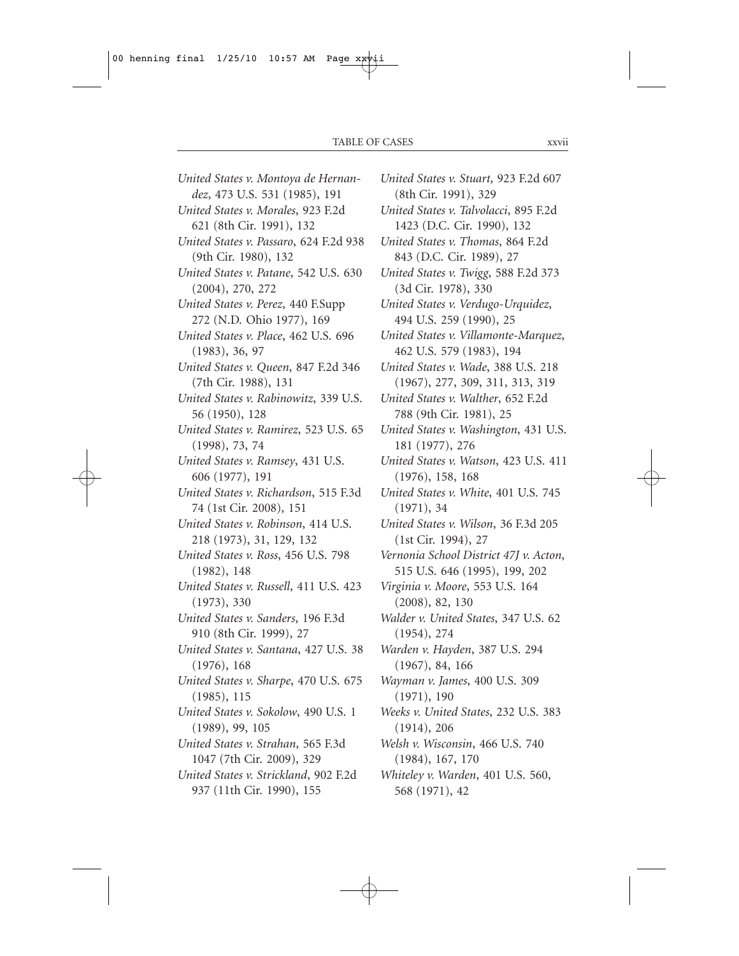*United States v. Montoya de Hernandez*, 473 U.S. 531 (1985), 191 *United States v. Morales*, 923 F.2d 621 (8th Cir. 1991), 132 *United States v. Passaro*, 624 F.2d 938 (9th Cir. 1980), 132 *United States v. Patane*, 542 U.S. 630 (2004), 270, 272 *United States v. Perez*, 440 F.Supp 272 (N.D. Ohio 1977), 169 *United States v. Place*, 462 U.S. 696 (1983), 36, 97 *United States v. Queen*, 847 F.2d 346 (7th Cir. 1988), 131 *United States v. Rabinowitz*, 339 U.S. 56 (1950), 128 *United States v. Ramirez*, 523 U.S. 65 (1998), 73, 74 *United States v. Ramsey*, 431 U.S. 606 (1977), 191 *United States v. Richardson*, 515 F.3d 74 (1st Cir. 2008), 151 *United States v. Robinson*, 414 U.S. 218 (1973), 31, 129, 132 *United States v. Ross*, 456 U.S. 798 (1982), 148 *United States v. Russell*, 411 U.S. 423 (1973), 330 *United States v. Sanders*, 196 F.3d 910 (8th Cir. 1999), 27 *United States v. Santana*, 427 U.S. 38 (1976), 168 *United States v. Sharpe*, 470 U.S. 675 (1985), 115 *United States v. Sokolow*, 490 U.S. 1 (1989), 99, 105 *United States v. Strahan*, 565 F.3d 1047 (7th Cir. 2009), 329 *United States v. Strickland*, 902 F.2d 937 (11th Cir. 1990), 155

*United States v. Stuart*, 923 F.2d 607 (8th Cir. 1991), 329 *United States v. Talvolacci*, 895 F.2d 1423 (D.C. Cir. 1990), 132 *United States v. Thomas*, 864 F.2d 843 (D.C. Cir. 1989), 27 *United States v. Twigg*, 588 F.2d 373 (3d Cir. 1978), 330 *United States v. Verdugo-Urquidez*, 494 U.S. 259 (1990), 25 *United States v. Villamonte-Marquez*, 462 U.S. 579 (1983), 194 *United States v. Wade*, 388 U.S. 218 (1967), 277, 309, 311, 313, 319 *United States v. Walther*, 652 F.2d 788 (9th Cir. 1981), 25 *United States v. Washington*, 431 U.S. 181 (1977), 276 *United States v. Watson*, 423 U.S. 411 (1976), 158, 168 *United States v. White*, 401 U.S. 745 (1971), 34 *United States v. Wilson*, 36 F.3d 205 (1st Cir. 1994), 27 *Vernonia School District 47J v. Acton*, 515 U.S. 646 (1995), 199, 202 *Virginia v. Moore*, 553 U.S. 164 (2008), 82, 130 *Walder v. United States*, 347 U.S. 62 (1954), 274 *Warden v. Hayden*, 387 U.S. 294 (1967), 84, 166 *Wayman v. James*, 400 U.S. 309 (1971), 190 *Weeks v. United States*, 232 U.S. 383 (1914), 206 *Welsh v. Wisconsin*, 466 U.S. 740 (1984), 167, 170 *Whiteley v. Warden*, 401 U.S. 560,

568 (1971), 42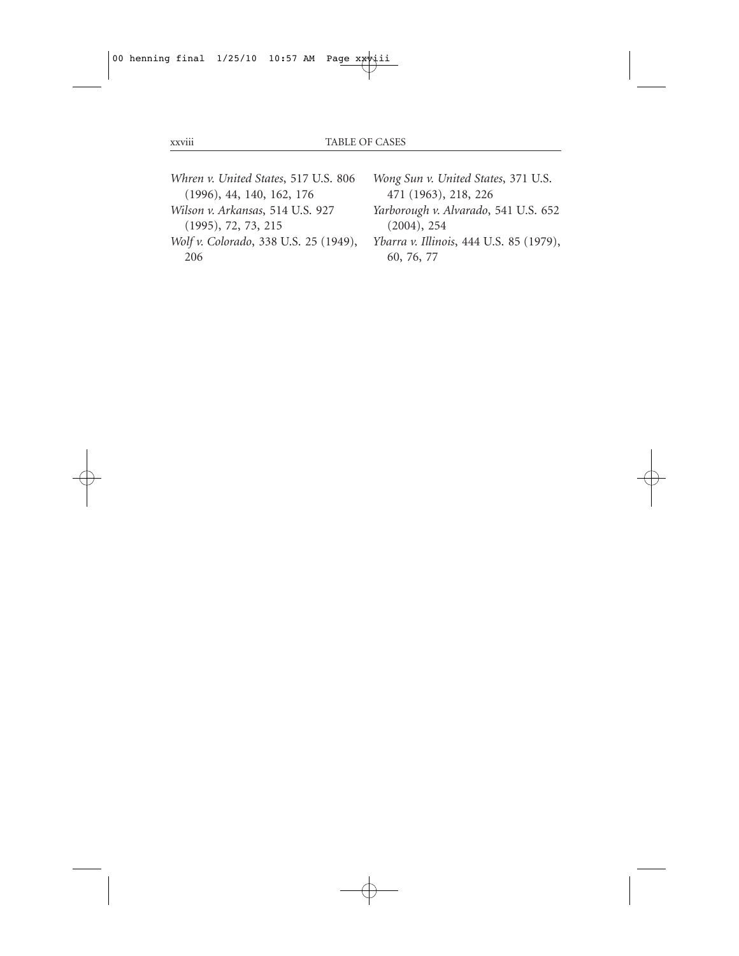206

- *Whren v. United States*, 517 U.S. 806 (1996), 44, 140, 162, 176 *Wilson v. Arkansas*, 514 U.S. 927 (1995), 72, 73, 215 *Wolf v. Colorado*, 338 U.S. 25 (1949),
- *Wong Sun v. United States*, 371 U.S. 471 (1963), 218, 226
	- *Yarborough v. Alvarado*, 541 U.S. 652 (2004), 254
	- *Ybarra v. Illinois*, 444 U.S. 85 (1979), 60, 76, 77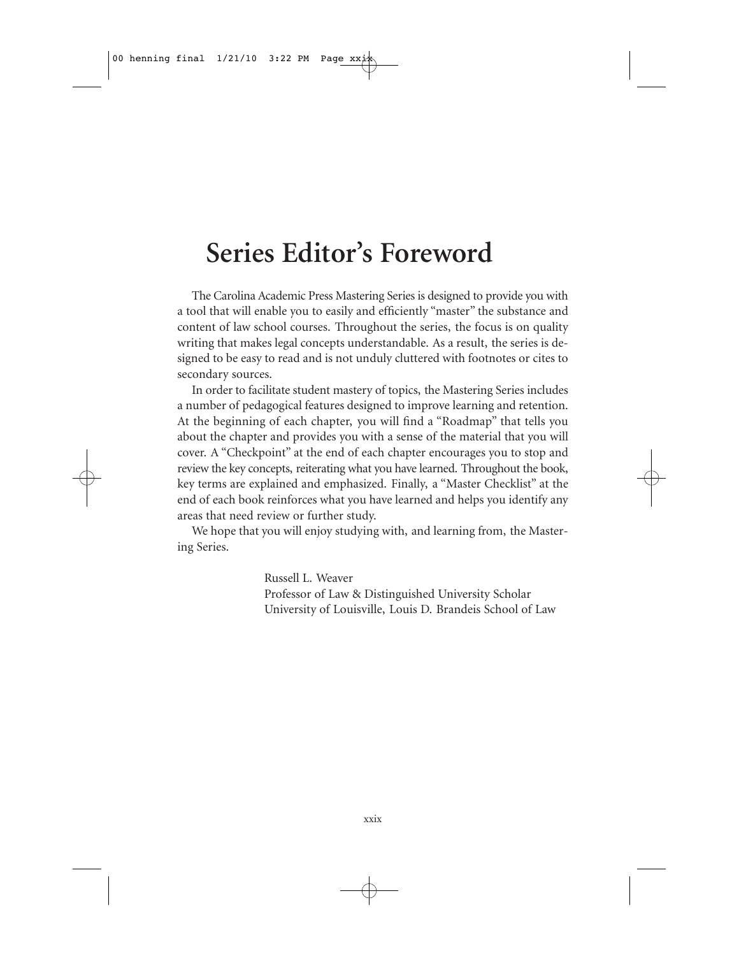## **Series Editor's Foreword**

The Carolina Academic Press Mastering Series is designed to provide you with a tool that will enable you to easily and efficiently "master" the substance and content of law school courses. Throughout the series, the focus is on quality writing that makes legal concepts understandable. As a result, the series is designed to be easy to read and is not unduly cluttered with footnotes or cites to secondary sources.

In order to facilitate student mastery of topics, the Mastering Series includes a number of pedagogical features designed to improve learning and retention. At the beginning of each chapter, you will find a "Roadmap" that tells you about the chapter and provides you with a sense of the material that you will cover. A "Checkpoint" at the end of each chapter encourages you to stop and review the key concepts, reiterating what you have learned. Throughout the book, key terms are explained and emphasized. Finally, a "Master Checklist" at the end of each book reinforces what you have learned and helps you identify any areas that need review or further study.

We hope that you will enjoy studying with, and learning from, the Mastering Series.

> Russell L. Weaver Professor of Law & Distinguished University Scholar University of Louisville, Louis D. Brandeis School of Law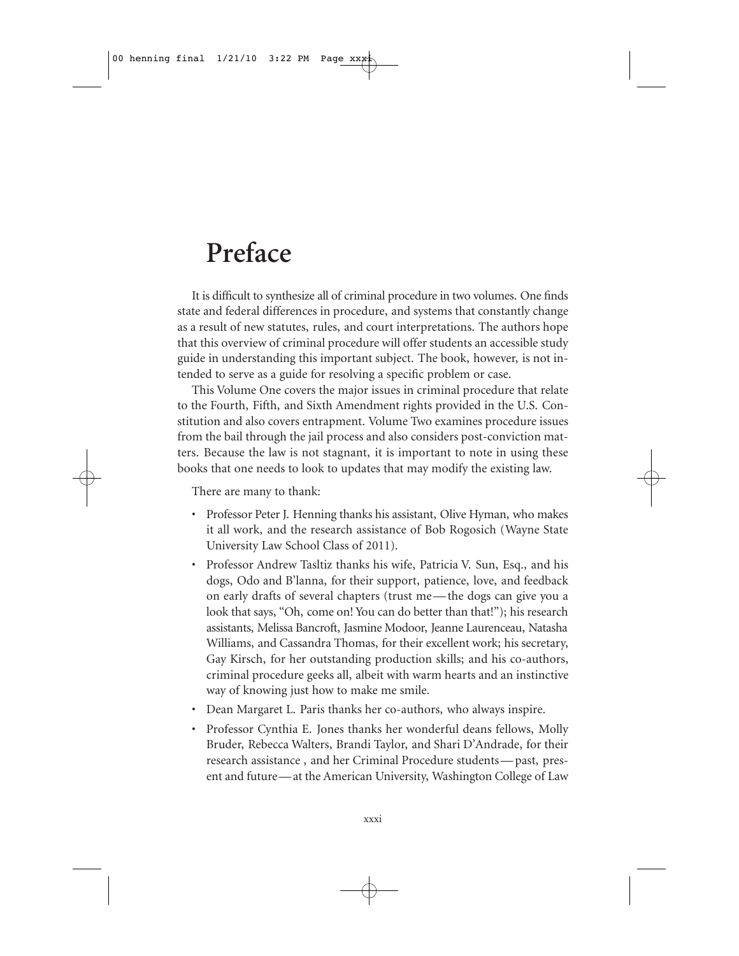## **Preface**

It is difficult to synthesize all of criminal procedure in two volumes. One finds state and federal differences in procedure, and systems that constantly change as a result of new statutes, rules, and court interpretations. The authors hope that this overview of criminal procedure will offer students an accessible study guide in understanding this important subject. The book, however, is not intended to serve as a guide for resolving a specific problem or case.

This Volume One covers the major issues in criminal procedure that relate to the Fourth, Fifth, and Sixth Amendment rights provided in the U.S. Constitution and also covers entrapment. Volume Two examines procedure issues from the bail through the jail process and also considers post-conviction matters. Because the law is not stagnant, it is important to note in using these books that one needs to look to updates that may modify the existing law.

There are many to thank:

- Professor Peter J. Henning thanks his assistant, Olive Hyman, who makes it all work, and the research assistance of Bob Rogosich (Wayne State University Law School Class of 2011).
- Professor Andrew Tasltiz thanks his wife, Patricia V. Sun, Esq., and his dogs, Odo and B'lanna, for their support, patience, love, and feedback on early drafts of several chapters (trust me — the dogs can give you a look that says, "Oh, come on! You can do better than that!"); his research assistants, Melissa Bancroft, Jasmine Modoor, Jeanne Laurenceau, Natasha Williams, and Cassandra Thomas, for their excellent work; his secretary, Gay Kirsch, for her outstanding production skills; and his co-authors, criminal procedure geeks all, albeit with warm hearts and an instinctive way of knowing just how to make me smile.
- Dean Margaret L. Paris thanks her co-authors, who always inspire.
- Professor Cynthia E. Jones thanks her wonderful deans fellows, Molly Bruder, Rebecca Walters, Brandi Taylor, and Shari D'Andrade, for their research assistance , and her Criminal Procedure students — past, present and future— at the American University, Washington College of Law